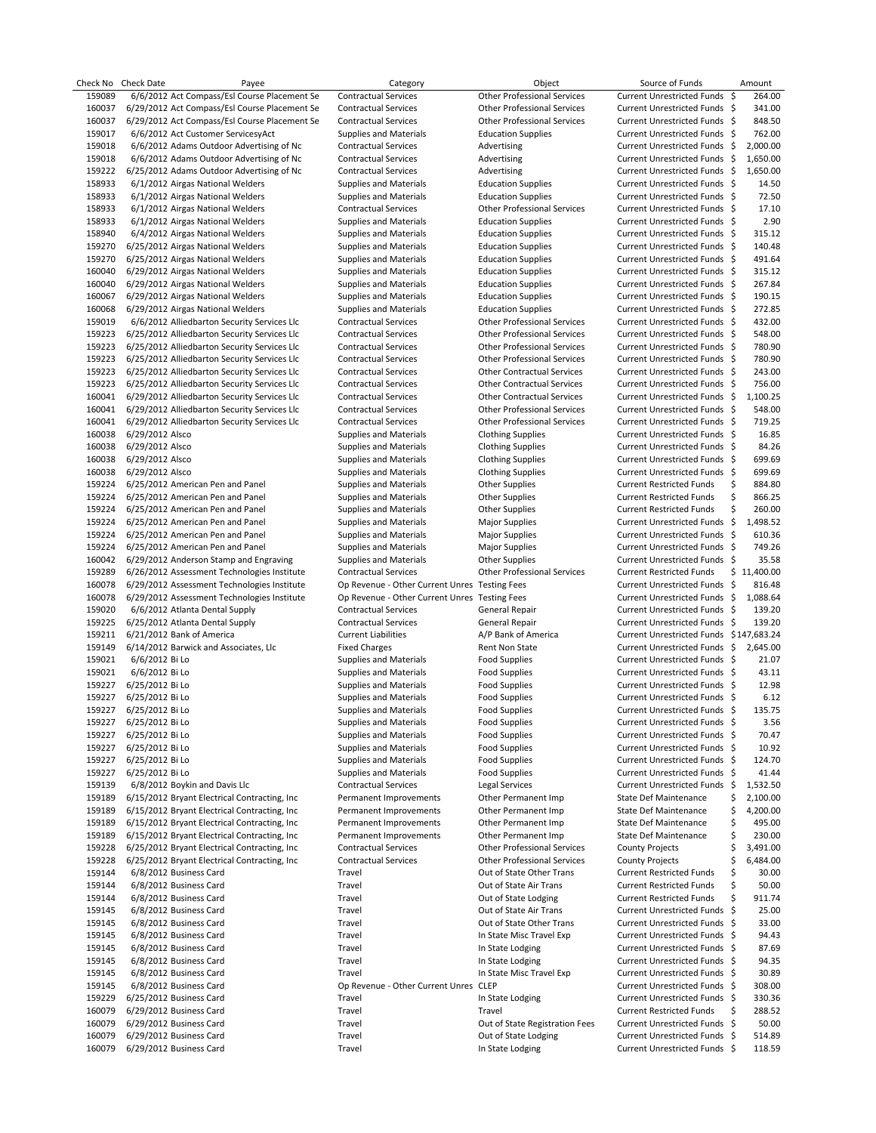| Check No | Check Date      | Payee                                         | Category                                      | Object                             | Source of Funds                         |     | Amount      |
|----------|-----------------|-----------------------------------------------|-----------------------------------------------|------------------------------------|-----------------------------------------|-----|-------------|
| 159089   |                 | 6/6/2012 Act Compass/Esl Course Placement Se  | <b>Contractual Services</b>                   | <b>Other Professional Services</b> | Current Unrestricted Funds \$           |     | 264.00      |
| 160037   |                 | 6/29/2012 Act Compass/Esl Course Placement Se | <b>Contractual Services</b>                   | <b>Other Professional Services</b> | Current Unrestricted Funds \$           |     | 341.00      |
| 160037   |                 | 6/29/2012 Act Compass/Esl Course Placement Se | <b>Contractual Services</b>                   | <b>Other Professional Services</b> | Current Unrestricted Funds \$           |     | 848.50      |
| 159017   |                 | 6/6/2012 Act Customer ServicesyAct            | Supplies and Materials                        | <b>Education Supplies</b>          | Current Unrestricted Funds \$           |     | 762.00      |
| 159018   |                 | 6/6/2012 Adams Outdoor Advertising of Nc      | <b>Contractual Services</b>                   | Advertising                        | Current Unrestricted Funds \$           |     | 2,000.00    |
| 159018   |                 | 6/6/2012 Adams Outdoor Advertising of Nc      | <b>Contractual Services</b>                   | Advertising                        | Current Unrestricted Funds \$           |     | 1,650.00    |
| 159222   |                 | 6/25/2012 Adams Outdoor Advertising of Nc     | <b>Contractual Services</b>                   | Advertising                        | Current Unrestricted Funds \$           |     | 1,650.00    |
| 158933   |                 | 6/1/2012 Airgas National Welders              | Supplies and Materials                        | <b>Education Supplies</b>          | Current Unrestricted Funds \$           |     | 14.50       |
|          |                 |                                               |                                               |                                    |                                         |     |             |
| 158933   |                 | 6/1/2012 Airgas National Welders              | <b>Supplies and Materials</b>                 | <b>Education Supplies</b>          | Current Unrestricted Funds \$           |     | 72.50       |
| 158933   |                 | 6/1/2012 Airgas National Welders              | <b>Contractual Services</b>                   | <b>Other Professional Services</b> | Current Unrestricted Funds \$           |     | 17.10       |
| 158933   |                 | 6/1/2012 Airgas National Welders              | <b>Supplies and Materials</b>                 | <b>Education Supplies</b>          | Current Unrestricted Funds \$           |     | 2.90        |
| 158940   |                 | 6/4/2012 Airgas National Welders              | Supplies and Materials                        | <b>Education Supplies</b>          | Current Unrestricted Funds \$           |     | 315.12      |
| 159270   |                 | 6/25/2012 Airgas National Welders             | Supplies and Materials                        | <b>Education Supplies</b>          | Current Unrestricted Funds \$           |     | 140.48      |
| 159270   |                 | 6/25/2012 Airgas National Welders             | <b>Supplies and Materials</b>                 | <b>Education Supplies</b>          | Current Unrestricted Funds \$           |     | 491.64      |
| 160040   |                 | 6/29/2012 Airgas National Welders             | Supplies and Materials                        | <b>Education Supplies</b>          | Current Unrestricted Funds \$           |     | 315.12      |
| 160040   |                 | 6/29/2012 Airgas National Welders             | <b>Supplies and Materials</b>                 | <b>Education Supplies</b>          | Current Unrestricted Funds \$           |     | 267.84      |
| 160067   |                 | 6/29/2012 Airgas National Welders             | <b>Supplies and Materials</b>                 | <b>Education Supplies</b>          | Current Unrestricted Funds \$           |     | 190.15      |
| 160068   |                 | 6/29/2012 Airgas National Welders             | Supplies and Materials                        | <b>Education Supplies</b>          | Current Unrestricted Funds \$           |     | 272.85      |
|          |                 |                                               |                                               | <b>Other Professional Services</b> | Current Unrestricted Funds \$           |     | 432.00      |
| 159019   |                 | 6/6/2012 Alliedbarton Security Services Llc   | <b>Contractual Services</b>                   |                                    |                                         |     |             |
| 159223   |                 | 6/25/2012 Alliedbarton Security Services Llc  | <b>Contractual Services</b>                   | <b>Other Professional Services</b> | Current Unrestricted Funds \$           |     | 548.00      |
| 159223   |                 | 6/25/2012 Alliedbarton Security Services Llc  | <b>Contractual Services</b>                   | <b>Other Professional Services</b> | Current Unrestricted Funds \$           |     | 780.90      |
| 159223   |                 | 6/25/2012 Alliedbarton Security Services Llc  | <b>Contractual Services</b>                   | <b>Other Professional Services</b> | Current Unrestricted Funds \$           |     | 780.90      |
| 159223   |                 | 6/25/2012 Alliedbarton Security Services Llc  | <b>Contractual Services</b>                   | <b>Other Contractual Services</b>  | Current Unrestricted Funds \$           |     | 243.00      |
| 159223   |                 | 6/25/2012 Alliedbarton Security Services Llc  | <b>Contractual Services</b>                   | <b>Other Contractual Services</b>  | Current Unrestricted Funds \$           |     | 756.00      |
| 160041   |                 | 6/29/2012 Alliedbarton Security Services Llc  | <b>Contractual Services</b>                   | <b>Other Contractual Services</b>  | Current Unrestricted Funds \$           |     | 1,100.25    |
| 160041   |                 | 6/29/2012 Alliedbarton Security Services Llc  | <b>Contractual Services</b>                   | <b>Other Professional Services</b> | Current Unrestricted Funds \$           |     | 548.00      |
| 160041   |                 | 6/29/2012 Alliedbarton Security Services Llc  | <b>Contractual Services</b>                   | <b>Other Professional Services</b> | Current Unrestricted Funds \$           |     | 719.25      |
|          |                 |                                               |                                               |                                    | Current Unrestricted Funds \$           |     | 16.85       |
| 160038   | 6/29/2012 Alsco |                                               | Supplies and Materials                        | <b>Clothing Supplies</b>           |                                         |     |             |
| 160038   | 6/29/2012 Alsco |                                               | Supplies and Materials                        | <b>Clothing Supplies</b>           | Current Unrestricted Funds \$           |     | 84.26       |
| 160038   | 6/29/2012 Alsco |                                               | Supplies and Materials                        | <b>Clothing Supplies</b>           | Current Unrestricted Funds \$           |     | 699.69      |
| 160038   | 6/29/2012 Alsco |                                               | <b>Supplies and Materials</b>                 | <b>Clothing Supplies</b>           | Current Unrestricted Funds \$           |     | 699.69      |
| 159224   |                 | 6/25/2012 American Pen and Panel              | <b>Supplies and Materials</b>                 | <b>Other Supplies</b>              | <b>Current Restricted Funds</b>         | \$  | 884.80      |
| 159224   |                 | 6/25/2012 American Pen and Panel              | <b>Supplies and Materials</b>                 | Other Supplies                     | <b>Current Restricted Funds</b>         | \$  | 866.25      |
| 159224   |                 | 6/25/2012 American Pen and Panel              | <b>Supplies and Materials</b>                 | Other Supplies                     | <b>Current Restricted Funds</b>         | \$  | 260.00      |
| 159224   |                 | 6/25/2012 American Pen and Panel              | Supplies and Materials                        | <b>Major Supplies</b>              | Current Unrestricted Funds \$           |     | 1,498.52    |
| 159224   |                 | 6/25/2012 American Pen and Panel              | <b>Supplies and Materials</b>                 | <b>Major Supplies</b>              | Current Unrestricted Funds \$           |     | 610.36      |
|          |                 |                                               |                                               |                                    |                                         |     |             |
| 159224   |                 | 6/25/2012 American Pen and Panel              | Supplies and Materials                        | <b>Major Supplies</b>              | Current Unrestricted Funds \$           |     | 749.26      |
| 160042   |                 | 6/29/2012 Anderson Stamp and Engraving        | <b>Supplies and Materials</b>                 | <b>Other Supplies</b>              | Current Unrestricted Funds \$           |     | 35.58       |
| 159289   |                 | 6/26/2012 Assessment Technologies Institute   | <b>Contractual Services</b>                   | <b>Other Professional Services</b> | <b>Current Restricted Funds</b>         |     | \$11,400.00 |
| 160078   |                 | 6/29/2012 Assessment Technologies Institute   | Op Revenue - Other Current Unres Testing Fees |                                    | Current Unrestricted Funds \$           |     | 816.48      |
| 160078   |                 | 6/29/2012 Assessment Technologies Institute   | Op Revenue - Other Current Unres Testing Fees |                                    | Current Unrestricted Funds \$           |     | 1,088.64    |
| 159020   |                 | 6/6/2012 Atlanta Dental Supply                | <b>Contractual Services</b>                   | General Repair                     | Current Unrestricted Funds \$           |     | 139.20      |
| 159225   |                 | 6/25/2012 Atlanta Dental Supply               | <b>Contractual Services</b>                   | General Repair                     | Current Unrestricted Funds \$           |     | 139.20      |
| 159211   |                 | 6/21/2012 Bank of America                     | <b>Current Liabilities</b>                    | A/P Bank of America                | Current Unrestricted Funds \$147,683.24 |     |             |
| 159149   |                 | 6/14/2012 Barwick and Associates, Llc         | <b>Fixed Charges</b>                          | Rent Non State                     | Current Unrestricted Funds \$           |     | 2,645.00    |
| 159021   | 6/6/2012 Bi Lo  |                                               | Supplies and Materials                        |                                    | Current Unrestricted Funds \$           |     | 21.07       |
|          |                 |                                               |                                               | <b>Food Supplies</b>               |                                         |     |             |
| 159021   | 6/6/2012 Bi Lo  |                                               | <b>Supplies and Materials</b>                 | <b>Food Supplies</b>               | Current Unrestricted Funds \$           |     | 43.11       |
| 159227   | 6/25/2012 Bi Lo |                                               | <b>Supplies and Materials</b>                 | <b>Food Supplies</b>               | Current Unrestricted Funds \$           |     | 12.98       |
| 159227   | 6/25/2012 Bi Lo |                                               | <b>Supplies and Materials</b>                 | <b>Food Supplies</b>               | Current Unrestricted Funds \$           |     | 6.12        |
| 159227   | 6/25/2012 Bi Lo |                                               | <b>Supplies and Materials</b>                 | <b>Food Supplies</b>               | Current Unrestricted Funds \$           |     | 135.75      |
| 159227   | 6/25/2012 Bi Lo |                                               | <b>Supplies and Materials</b>                 | <b>Food Supplies</b>               | Current Unrestricted Funds \$           |     | 3.56        |
| 159227   | 6/25/2012 Bi Lo |                                               | <b>Supplies and Materials</b>                 | <b>Food Supplies</b>               | Current Unrestricted Funds \$           |     | 70.47       |
| 159227   | 6/25/2012 Bi Lo |                                               | <b>Supplies and Materials</b>                 | <b>Food Supplies</b>               | Current Unrestricted Funds \$           |     | 10.92       |
| 159227   | 6/25/2012 Bi Lo |                                               | Supplies and Materials                        | <b>Food Supplies</b>               | Current Unrestricted Funds \$           |     | 124.70      |
| 159227   | 6/25/2012 Bi Lo |                                               | Supplies and Materials                        | <b>Food Supplies</b>               | Current Unrestricted Funds \$           |     | 41.44       |
| 159139   |                 | 6/8/2012 Boykin and Davis Llc                 | <b>Contractual Services</b>                   | Legal Services                     | Current Unrestricted Funds \$           |     | 1,532.50    |
|          |                 |                                               |                                               |                                    |                                         |     |             |
| 159189   |                 | 6/15/2012 Bryant Electrical Contracting, Inc. | Permanent Improvements                        | Other Permanent Imp                | State Def Maintenance                   | \$  | 2,100.00    |
| 159189   |                 | 6/15/2012 Bryant Electrical Contracting, Inc. | Permanent Improvements                        | Other Permanent Imp                | State Def Maintenance                   | \$  | 4,200.00    |
| 159189   |                 | 6/15/2012 Bryant Electrical Contracting, Inc. | Permanent Improvements                        | Other Permanent Imp                | State Def Maintenance                   | \$  | 495.00      |
| 159189   |                 | 6/15/2012 Bryant Electrical Contracting, Inc. | Permanent Improvements                        | Other Permanent Imp                | State Def Maintenance                   | \$  | 230.00      |
| 159228   |                 | 6/25/2012 Bryant Electrical Contracting, Inc. | <b>Contractual Services</b>                   | <b>Other Professional Services</b> | <b>County Projects</b>                  | Ś   | 3,491.00    |
| 159228   |                 | 6/25/2012 Bryant Electrical Contracting, Inc  | <b>Contractual Services</b>                   | <b>Other Professional Services</b> | <b>County Projects</b>                  | \$  | 6,484.00    |
| 159144   |                 | 6/8/2012 Business Card                        | Travel                                        | Out of State Other Trans           | <b>Current Restricted Funds</b>         | \$  | 30.00       |
| 159144   |                 | 6/8/2012 Business Card                        | Travel                                        | Out of State Air Trans             | <b>Current Restricted Funds</b>         | \$  | 50.00       |
| 159144   |                 | 6/8/2012 Business Card                        | Travel                                        | Out of State Lodging               | <b>Current Restricted Funds</b>         | \$  | 911.74      |
|          |                 |                                               |                                               |                                    |                                         |     |             |
| 159145   |                 | 6/8/2012 Business Card                        | Travel                                        | Out of State Air Trans             | Current Unrestricted Funds              | -\$ | 25.00       |
| 159145   |                 | 6/8/2012 Business Card                        | Travel                                        | Out of State Other Trans           | Current Unrestricted Funds \$           |     | 33.00       |
| 159145   |                 | 6/8/2012 Business Card                        | Travel                                        | In State Misc Travel Exp           | Current Unrestricted Funds \$           |     | 94.43       |
| 159145   |                 | 6/8/2012 Business Card                        | Travel                                        | In State Lodging                   | Current Unrestricted Funds \$           |     | 87.69       |
| 159145   |                 | 6/8/2012 Business Card                        | Travel                                        | In State Lodging                   | Current Unrestricted Funds \$           |     | 94.35       |
| 159145   |                 | 6/8/2012 Business Card                        | Travel                                        | In State Misc Travel Exp           | Current Unrestricted Funds \$           |     | 30.89       |
| 159145   |                 | 6/8/2012 Business Card                        | Op Revenue - Other Current Unres CLEP         |                                    | Current Unrestricted Funds \$           |     | 308.00      |
| 159229   |                 | 6/25/2012 Business Card                       | Travel                                        | In State Lodging                   | Current Unrestricted Funds \$           |     | 330.36      |
| 160079   |                 | 6/29/2012 Business Card                       | Travel                                        | Travel                             | <b>Current Restricted Funds</b>         | \$  | 288.52      |
|          |                 |                                               |                                               |                                    |                                         |     |             |
| 160079   |                 | 6/29/2012 Business Card                       | Travel                                        | Out of State Registration Fees     | Current Unrestricted Funds \$           |     | 50.00       |
| 160079   |                 | 6/29/2012 Business Card                       | Travel                                        | Out of State Lodging               | Current Unrestricted Funds \$           |     | 514.89      |
| 160079   |                 | 6/29/2012 Business Card                       | Travel                                        | In State Lodging                   | Current Unrestricted Funds \$           |     | 118.59      |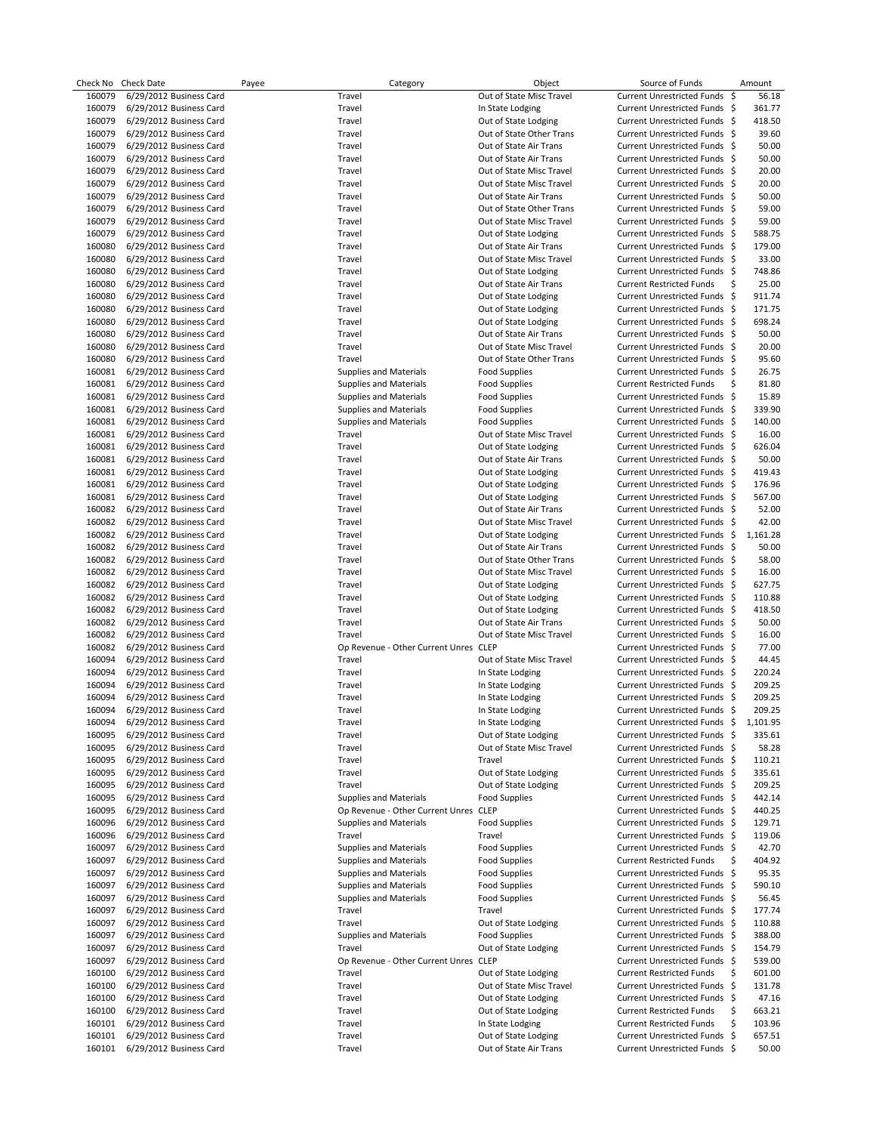| Check No | <b>Check Date</b>       | Payee | Category                              | Object                                       | Source of Funds                 |     | Amount   |
|----------|-------------------------|-------|---------------------------------------|----------------------------------------------|---------------------------------|-----|----------|
| 160079   | 6/29/2012 Business Card |       | Travel                                | Out of State Misc Travel                     | Current Unrestricted Funds \$   |     | 56.18    |
| 160079   | 6/29/2012 Business Card |       | Travel                                | In State Lodging                             | Current Unrestricted Funds \$   |     | 361.77   |
| 160079   | 6/29/2012 Business Card |       | Travel                                | Out of State Lodging                         | Current Unrestricted Funds \$   |     | 418.50   |
| 160079   | 6/29/2012 Business Card |       | Travel                                | Out of State Other Trans                     | Current Unrestricted Funds \$   |     | 39.60    |
| 160079   | 6/29/2012 Business Card |       | Travel                                | Out of State Air Trans                       | Current Unrestricted Funds \$   |     | 50.00    |
| 160079   | 6/29/2012 Business Card |       | Travel                                | Out of State Air Trans                       | Current Unrestricted Funds \$   |     | 50.00    |
| 160079   | 6/29/2012 Business Card |       | Travel                                | Out of State Misc Travel                     | Current Unrestricted Funds \$   |     | 20.00    |
| 160079   | 6/29/2012 Business Card |       | Travel                                | Out of State Misc Travel                     | Current Unrestricted Funds \$   |     | 20.00    |
| 160079   | 6/29/2012 Business Card |       | Travel                                | Out of State Air Trans                       | Current Unrestricted Funds \$   |     | 50.00    |
| 160079   | 6/29/2012 Business Card |       | Travel                                | Out of State Other Trans                     | Current Unrestricted Funds \$   |     | 59.00    |
| 160079   | 6/29/2012 Business Card |       | Travel                                | Out of State Misc Travel                     | Current Unrestricted Funds \$   |     | 59.00    |
| 160079   | 6/29/2012 Business Card |       | Travel                                | Out of State Lodging                         | Current Unrestricted Funds \$   |     | 588.75   |
| 160080   | 6/29/2012 Business Card |       | Travel                                | Out of State Air Trans                       | Current Unrestricted Funds \$   |     | 179.00   |
| 160080   | 6/29/2012 Business Card |       | Travel                                | Out of State Misc Travel                     | Current Unrestricted Funds \$   |     | 33.00    |
| 160080   | 6/29/2012 Business Card |       | Travel                                | Out of State Lodging                         | Current Unrestricted Funds \$   |     | 748.86   |
| 160080   | 6/29/2012 Business Card |       | Travel                                | Out of State Air Trans                       | <b>Current Restricted Funds</b> | \$  | 25.00    |
| 160080   | 6/29/2012 Business Card |       | Travel                                | Out of State Lodging                         | Current Unrestricted Funds \$   |     | 911.74   |
| 160080   | 6/29/2012 Business Card |       | Travel                                | Out of State Lodging                         | Current Unrestricted Funds \$   |     | 171.75   |
| 160080   | 6/29/2012 Business Card |       | Travel                                | Out of State Lodging                         | Current Unrestricted Funds \$   |     | 698.24   |
| 160080   | 6/29/2012 Business Card |       | Travel                                | Out of State Air Trans                       | Current Unrestricted Funds \$   |     | 50.00    |
| 160080   | 6/29/2012 Business Card |       | Travel                                | Out of State Misc Travel                     | Current Unrestricted Funds \$   |     | 20.00    |
| 160080   | 6/29/2012 Business Card |       | Travel                                | Out of State Other Trans                     | Current Unrestricted Funds \$   |     | 95.60    |
| 160081   | 6/29/2012 Business Card |       | <b>Supplies and Materials</b>         | <b>Food Supplies</b>                         | Current Unrestricted Funds \$   |     | 26.75    |
| 160081   | 6/29/2012 Business Card |       | <b>Supplies and Materials</b>         | <b>Food Supplies</b>                         | <b>Current Restricted Funds</b> | \$  | 81.80    |
| 160081   | 6/29/2012 Business Card |       | <b>Supplies and Materials</b>         | <b>Food Supplies</b>                         | Current Unrestricted Funds \$   |     | 15.89    |
| 160081   | 6/29/2012 Business Card |       | <b>Supplies and Materials</b>         | <b>Food Supplies</b>                         | Current Unrestricted Funds \$   |     | 339.90   |
| 160081   | 6/29/2012 Business Card |       | Supplies and Materials                | <b>Food Supplies</b>                         | Current Unrestricted Funds \$   |     | 140.00   |
| 160081   | 6/29/2012 Business Card |       | Travel                                | Out of State Misc Travel                     | Current Unrestricted Funds \$   |     | 16.00    |
| 160081   | 6/29/2012 Business Card |       | Travel                                | Out of State Lodging                         | Current Unrestricted Funds \$   |     | 626.04   |
| 160081   | 6/29/2012 Business Card |       | Travel                                | Out of State Air Trans                       | Current Unrestricted Funds \$   |     | 50.00    |
| 160081   | 6/29/2012 Business Card |       | Travel                                | Out of State Lodging                         | Current Unrestricted Funds \$   |     | 419.43   |
| 160081   | 6/29/2012 Business Card |       | Travel                                | Out of State Lodging                         | Current Unrestricted Funds \$   |     | 176.96   |
| 160081   | 6/29/2012 Business Card |       | Travel                                | Out of State Lodging                         | Current Unrestricted Funds \$   |     | 567.00   |
| 160082   | 6/29/2012 Business Card |       | Travel                                | Out of State Air Trans                       | Current Unrestricted Funds \$   |     | 52.00    |
| 160082   | 6/29/2012 Business Card |       | Travel                                | Out of State Misc Travel                     | Current Unrestricted Funds \$   |     | 42.00    |
| 160082   | 6/29/2012 Business Card |       | Travel                                | Out of State Lodging                         | Current Unrestricted Funds \$   |     | 1,161.28 |
| 160082   | 6/29/2012 Business Card |       | Travel                                | Out of State Air Trans                       | Current Unrestricted Funds \$   |     | 50.00    |
| 160082   | 6/29/2012 Business Card |       | Travel                                | Out of State Other Trans                     | Current Unrestricted Funds \$   |     | 58.00    |
| 160082   | 6/29/2012 Business Card |       | Travel                                | Out of State Misc Travel                     | Current Unrestricted Funds \$   |     | 16.00    |
| 160082   |                         |       | Travel                                |                                              | Current Unrestricted Funds \$   |     | 627.75   |
| 160082   | 6/29/2012 Business Card |       | Travel                                | Out of State Lodging<br>Out of State Lodging |                                 |     | 110.88   |
|          | 6/29/2012 Business Card |       |                                       |                                              | Current Unrestricted Funds \$   |     |          |
| 160082   | 6/29/2012 Business Card |       | Travel                                | Out of State Lodging                         | Current Unrestricted Funds \$   |     | 418.50   |
| 160082   | 6/29/2012 Business Card |       | Travel                                | Out of State Air Trans                       | Current Unrestricted Funds \$   |     | 50.00    |
| 160082   | 6/29/2012 Business Card |       | Travel                                | Out of State Misc Travel                     | Current Unrestricted Funds \$   |     | 16.00    |
| 160082   | 6/29/2012 Business Card |       | Op Revenue - Other Current Unres CLEP |                                              | Current Unrestricted Funds \$   |     | 77.00    |
| 160094   | 6/29/2012 Business Card |       | Travel                                | Out of State Misc Travel                     | Current Unrestricted Funds \$   |     | 44.45    |
| 160094   | 6/29/2012 Business Card |       | Travel                                | In State Lodging                             | Current Unrestricted Funds \$   |     | 220.24   |
| 160094   | 6/29/2012 Business Card |       | Travel                                | In State Lodging                             | Current Unrestricted Funds \$   |     | 209.25   |
| 160094   | 6/29/2012 Business Card |       | Travel                                | In State Lodging                             | Current Unrestricted Funds \$   |     | 209.25   |
| 160094   | 6/29/2012 Business Card |       | Travel                                | In State Lodging                             | Current Unrestricted Funds \$   |     | 209.25   |
| 160094   | 6/29/2012 Business Card |       | Traveı                                | In State Lodging                             | Current Unrestricted Funds \$   |     | 1,101.95 |
| 160095   | 6/29/2012 Business Card |       | Travel                                | Out of State Lodging                         | Current Unrestricted Funds \$   |     | 335.61   |
| 160095   | 6/29/2012 Business Card |       | Travel                                | Out of State Misc Travel                     | Current Unrestricted Funds \$   |     | 58.28    |
| 160095   | 6/29/2012 Business Card |       | Travel                                | Travel                                       | Current Unrestricted Funds \$   |     | 110.21   |
| 160095   | 6/29/2012 Business Card |       | Travel                                | Out of State Lodging                         | Current Unrestricted Funds \$   |     | 335.61   |
| 160095   | 6/29/2012 Business Card |       | Travel                                | Out of State Lodging                         | Current Unrestricted Funds \$   |     | 209.25   |
| 160095   | 6/29/2012 Business Card |       | <b>Supplies and Materials</b>         | <b>Food Supplies</b>                         | Current Unrestricted Funds \$   |     | 442.14   |
| 160095   | 6/29/2012 Business Card |       | Op Revenue - Other Current Unres CLEP |                                              | Current Unrestricted Funds \$   |     | 440.25   |
| 160096   | 6/29/2012 Business Card |       | <b>Supplies and Materials</b>         | <b>Food Supplies</b>                         | Current Unrestricted Funds \$   |     | 129.71   |
| 160096   | 6/29/2012 Business Card |       | Travel                                | Travel                                       | Current Unrestricted Funds \$   |     | 119.06   |
| 160097   | 6/29/2012 Business Card |       | <b>Supplies and Materials</b>         | <b>Food Supplies</b>                         | Current Unrestricted Funds \$   |     | 42.70    |
| 160097   | 6/29/2012 Business Card |       | <b>Supplies and Materials</b>         | <b>Food Supplies</b>                         | <b>Current Restricted Funds</b> | \$  | 404.92   |
| 160097   | 6/29/2012 Business Card |       | <b>Supplies and Materials</b>         | <b>Food Supplies</b>                         | Current Unrestricted Funds \$   |     | 95.35    |
| 160097   | 6/29/2012 Business Card |       | <b>Supplies and Materials</b>         | <b>Food Supplies</b>                         | Current Unrestricted Funds \$   |     | 590.10   |
| 160097   | 6/29/2012 Business Card |       | <b>Supplies and Materials</b>         | <b>Food Supplies</b>                         | Current Unrestricted Funds \$   |     | 56.45    |
| 160097   | 6/29/2012 Business Card |       | Travel                                | Travel                                       | Current Unrestricted Funds \$   |     | 177.74   |
| 160097   | 6/29/2012 Business Card |       | Travel                                | Out of State Lodging                         | Current Unrestricted Funds \$   |     | 110.88   |
| 160097   | 6/29/2012 Business Card |       | <b>Supplies and Materials</b>         | <b>Food Supplies</b>                         | Current Unrestricted Funds \$   |     | 388.00   |
| 160097   | 6/29/2012 Business Card |       | Travel                                | Out of State Lodging                         | Current Unrestricted Funds \$   |     | 154.79   |
| 160097   | 6/29/2012 Business Card |       | Op Revenue - Other Current Unres      | <b>CLEP</b>                                  | Current Unrestricted Funds \$   |     | 539.00   |
| 160100   | 6/29/2012 Business Card |       | Travel                                | Out of State Lodging                         | <b>Current Restricted Funds</b> | \$  | 601.00   |
| 160100   | 6/29/2012 Business Card |       | Travel                                | Out of State Misc Travel                     | Current Unrestricted Funds      | -\$ | 131.78   |
| 160100   | 6/29/2012 Business Card |       | Travel                                | Out of State Lodging                         | Current Unrestricted Funds \$   |     | 47.16    |
| 160100   | 6/29/2012 Business Card |       | Travel                                | Out of State Lodging                         | <b>Current Restricted Funds</b> | \$  | 663.21   |
| 160101   | 6/29/2012 Business Card |       | Travel                                | In State Lodging                             | <b>Current Restricted Funds</b> | \$  | 103.96   |
| 160101   | 6/29/2012 Business Card |       | Travel                                | Out of State Lodging                         | Current Unrestricted Funds \$   |     | 657.51   |
| 160101   | 6/29/2012 Business Card |       | Travel                                | Out of State Air Trans                       | Current Unrestricted Funds \$   |     | 50.00    |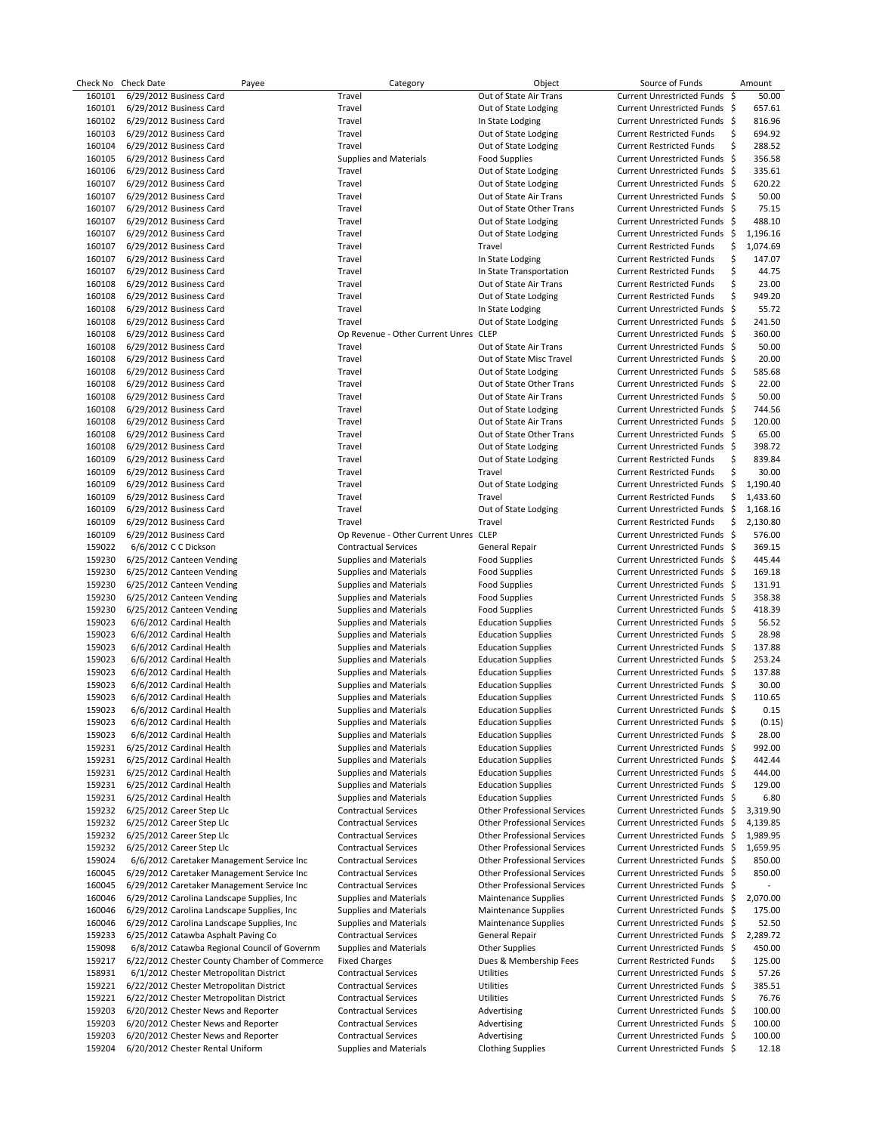| Check No | <b>Check Date</b>                            | Payee | Category                              | Object                             | Source of Funds                   | Amount         |
|----------|----------------------------------------------|-------|---------------------------------------|------------------------------------|-----------------------------------|----------------|
| 160101   | 6/29/2012 Business Card                      |       | Travel                                | Out of State Air Trans             | <b>Current Unrestricted Funds</b> | \$<br>50.00    |
| 160101   | 6/29/2012 Business Card                      |       | Travel                                | Out of State Lodging               | Current Unrestricted Funds \$     | 657.61         |
| 160102   | 6/29/2012 Business Card                      |       | Travel                                | In State Lodging                   | Current Unrestricted Funds \$     | 816.96         |
| 160103   | 6/29/2012 Business Card                      |       | Travel                                | Out of State Lodging               | <b>Current Restricted Funds</b>   | \$<br>694.92   |
|          |                                              |       |                                       |                                    |                                   |                |
| 160104   | 6/29/2012 Business Card                      |       | Travel                                | Out of State Lodging               | <b>Current Restricted Funds</b>   | \$<br>288.52   |
| 160105   | 6/29/2012 Business Card                      |       | <b>Supplies and Materials</b>         | <b>Food Supplies</b>               | Current Unrestricted Funds \$     | 356.58         |
| 160106   | 6/29/2012 Business Card                      |       | Travel                                | Out of State Lodging               | Current Unrestricted Funds \$     | 335.61         |
| 160107   | 6/29/2012 Business Card                      |       | Travel                                | Out of State Lodging               | Current Unrestricted Funds \$     | 620.22         |
| 160107   | 6/29/2012 Business Card                      |       | Travel                                | Out of State Air Trans             | Current Unrestricted Funds \$     | 50.00          |
| 160107   | 6/29/2012 Business Card                      |       | Travel                                | Out of State Other Trans           | Current Unrestricted Funds \$     | 75.15          |
|          |                                              |       |                                       | Out of State Lodging               | Current Unrestricted Funds \$     | 488.10         |
| 160107   | 6/29/2012 Business Card                      |       | Travel                                |                                    |                                   |                |
| 160107   | 6/29/2012 Business Card                      |       | Travel                                | Out of State Lodging               | Current Unrestricted Funds \$     | 1,196.16       |
| 160107   | 6/29/2012 Business Card                      |       | Travel                                | Travel                             | <b>Current Restricted Funds</b>   | \$<br>1,074.69 |
| 160107   | 6/29/2012 Business Card                      |       | Travel                                | In State Lodging                   | <b>Current Restricted Funds</b>   | \$<br>147.07   |
| 160107   | 6/29/2012 Business Card                      |       | Travel                                | In State Transportation            | <b>Current Restricted Funds</b>   | \$<br>44.75    |
| 160108   | 6/29/2012 Business Card                      |       | Travel                                | Out of State Air Trans             | <b>Current Restricted Funds</b>   | \$<br>23.00    |
| 160108   | 6/29/2012 Business Card                      |       | Travel                                | Out of State Lodging               | <b>Current Restricted Funds</b>   | \$<br>949.20   |
|          |                                              |       | Travel                                |                                    |                                   | 55.72          |
| 160108   | 6/29/2012 Business Card                      |       |                                       | In State Lodging                   | Current Unrestricted Funds \$     |                |
| 160108   | 6/29/2012 Business Card                      |       | Travel                                | Out of State Lodging               | Current Unrestricted Funds \$     | 241.50         |
| 160108   | 6/29/2012 Business Card                      |       | Op Revenue - Other Current Unres CLEP |                                    | Current Unrestricted Funds \$     | 360.00         |
| 160108   | 6/29/2012 Business Card                      |       | Travel                                | Out of State Air Trans             | Current Unrestricted Funds \$     | 50.00          |
| 160108   | 6/29/2012 Business Card                      |       | Travel                                | Out of State Misc Travel           | Current Unrestricted Funds \$     | 20.00          |
| 160108   | 6/29/2012 Business Card                      |       | Travel                                | Out of State Lodging               | Current Unrestricted Funds \$     | 585.68         |
| 160108   | 6/29/2012 Business Card                      |       | Travel                                | Out of State Other Trans           | Current Unrestricted Funds \$     | 22.00          |
|          |                                              |       |                                       |                                    |                                   |                |
| 160108   | 6/29/2012 Business Card                      |       | Travel                                | Out of State Air Trans             | Current Unrestricted Funds \$     | 50.00          |
| 160108   | 6/29/2012 Business Card                      |       | Travel                                | Out of State Lodging               | Current Unrestricted Funds \$     | 744.56         |
| 160108   | 6/29/2012 Business Card                      |       | Travel                                | Out of State Air Trans             | Current Unrestricted Funds \$     | 120.00         |
| 160108   | 6/29/2012 Business Card                      |       | Travel                                | Out of State Other Trans           | Current Unrestricted Funds \$     | 65.00          |
| 160108   | 6/29/2012 Business Card                      |       | Travel                                | Out of State Lodging               | Current Unrestricted Funds \$     | 398.72         |
| 160109   | 6/29/2012 Business Card                      |       | Travel                                | Out of State Lodging               | <b>Current Restricted Funds</b>   | \$<br>839.84   |
|          |                                              |       |                                       |                                    |                                   |                |
| 160109   | 6/29/2012 Business Card                      |       | Travel                                | Travel                             | <b>Current Restricted Funds</b>   | \$<br>30.00    |
| 160109   | 6/29/2012 Business Card                      |       | Travel                                | Out of State Lodging               | Current Unrestricted Funds \$     | 1,190.40       |
| 160109   | 6/29/2012 Business Card                      |       | Travel                                | Travel                             | <b>Current Restricted Funds</b>   | \$<br>1,433.60 |
| 160109   | 6/29/2012 Business Card                      |       | Travel                                | Out of State Lodging               | Current Unrestricted Funds \$     | 1,168.16       |
| 160109   | 6/29/2012 Business Card                      |       | Travel                                | Travel                             | <b>Current Restricted Funds</b>   | \$<br>2,130.80 |
| 160109   | 6/29/2012 Business Card                      |       | Op Revenue - Other Current Unres      | <b>CLEP</b>                        | Current Unrestricted Funds \$     | 576.00         |
|          |                                              |       |                                       |                                    |                                   |                |
| 159022   | 6/6/2012 C C Dickson                         |       | <b>Contractual Services</b>           | General Repair                     | Current Unrestricted Funds \$     | 369.15         |
| 159230   | 6/25/2012 Canteen Vending                    |       | <b>Supplies and Materials</b>         | <b>Food Supplies</b>               | Current Unrestricted Funds \$     | 445.44         |
| 159230   | 6/25/2012 Canteen Vending                    |       | <b>Supplies and Materials</b>         | <b>Food Supplies</b>               | Current Unrestricted Funds \$     | 169.18         |
| 159230   | 6/25/2012 Canteen Vending                    |       | <b>Supplies and Materials</b>         | <b>Food Supplies</b>               | Current Unrestricted Funds \$     | 131.91         |
| 159230   | 6/25/2012 Canteen Vending                    |       | <b>Supplies and Materials</b>         | <b>Food Supplies</b>               | Current Unrestricted Funds \$     | 358.38         |
| 159230   | 6/25/2012 Canteen Vending                    |       | <b>Supplies and Materials</b>         | <b>Food Supplies</b>               | Current Unrestricted Funds \$     | 418.39         |
| 159023   | 6/6/2012 Cardinal Health                     |       | <b>Supplies and Materials</b>         | <b>Education Supplies</b>          | Current Unrestricted Funds \$     | 56.52          |
|          |                                              |       |                                       |                                    |                                   |                |
| 159023   | 6/6/2012 Cardinal Health                     |       | <b>Supplies and Materials</b>         | <b>Education Supplies</b>          | Current Unrestricted Funds \$     | 28.98          |
| 159023   | 6/6/2012 Cardinal Health                     |       | <b>Supplies and Materials</b>         | <b>Education Supplies</b>          | Current Unrestricted Funds \$     | 137.88         |
| 159023   | 6/6/2012 Cardinal Health                     |       | <b>Supplies and Materials</b>         | <b>Education Supplies</b>          | Current Unrestricted Funds \$     | 253.24         |
| 159023   | 6/6/2012 Cardinal Health                     |       | <b>Supplies and Materials</b>         | <b>Education Supplies</b>          | Current Unrestricted Funds \$     | 137.88         |
| 159023   | 6/6/2012 Cardinal Health                     |       | <b>Supplies and Materials</b>         | <b>Education Supplies</b>          | Current Unrestricted Funds \$     | 30.00          |
| 159023   | 6/6/2012 Cardinal Health                     |       | <b>Supplies and Materials</b>         | <b>Education Supplies</b>          | Current Unrestricted Funds \$     | 110.65         |
| 159023   | 6/6/2012 Cardinal Health                     |       | <b>Supplies and Materials</b>         | <b>Education Supplies</b>          | Current Unrestricted Funds \$     | 0.15           |
|          |                                              |       |                                       |                                    |                                   |                |
| 159023   | 6/6/2012 Cardinal Health                     |       | <b>Supplies and Materials</b>         | <b>Education Supplies</b>          | Current Unrestricted Funds \$     | (0.15)         |
| 159023   | 6/6/2012 Cardinal Health                     |       | <b>Supplies and Materials</b>         | <b>Education Supplies</b>          | Current Unrestricted Funds \$     | 28.00          |
| 159231   | 6/25/2012 Cardinal Health                    |       | <b>Supplies and Materials</b>         | <b>Education Supplies</b>          | Current Unrestricted Funds \$     | 992.00         |
| 159231   | 6/25/2012 Cardinal Health                    |       | <b>Supplies and Materials</b>         | <b>Education Supplies</b>          | Current Unrestricted Funds \$     | 442.44         |
| 159231   | 6/25/2012 Cardinal Health                    |       | <b>Supplies and Materials</b>         | <b>Education Supplies</b>          | Current Unrestricted Funds \$     | 444.00         |
| 159231   | 6/25/2012 Cardinal Health                    |       | <b>Supplies and Materials</b>         | <b>Education Supplies</b>          | Current Unrestricted Funds \$     | 129.00         |
| 159231   | 6/25/2012 Cardinal Health                    |       | <b>Supplies and Materials</b>         | <b>Education Supplies</b>          | Current Unrestricted Funds \$     | 6.80           |
|          |                                              |       |                                       |                                    |                                   |                |
| 159232   | 6/25/2012 Career Step Llc                    |       | <b>Contractual Services</b>           | <b>Other Professional Services</b> | Current Unrestricted Funds \$     | 3,319.90       |
| 159232   | 6/25/2012 Career Step Llc                    |       | <b>Contractual Services</b>           | <b>Other Professional Services</b> | Current Unrestricted Funds \$     | 4,139.85       |
| 159232   | 6/25/2012 Career Step Llc                    |       | <b>Contractual Services</b>           | <b>Other Professional Services</b> | Current Unrestricted Funds \$     | 1,989.95       |
| 159232   | 6/25/2012 Career Step Llc                    |       | <b>Contractual Services</b>           | <b>Other Professional Services</b> | Current Unrestricted Funds \$     | 1,659.95       |
| 159024   | 6/6/2012 Caretaker Management Service Inc    |       | <b>Contractual Services</b>           | <b>Other Professional Services</b> | Current Unrestricted Funds \$     | 850.00         |
| 160045   | 6/29/2012 Caretaker Management Service Inc   |       | <b>Contractual Services</b>           | <b>Other Professional Services</b> | Current Unrestricted Funds \$     | 850.00         |
|          | 6/29/2012 Caretaker Management Service Inc   |       |                                       |                                    |                                   |                |
| 160045   |                                              |       | <b>Contractual Services</b>           | <b>Other Professional Services</b> | Current Unrestricted Funds \$     |                |
| 160046   | 6/29/2012 Carolina Landscape Supplies, Inc   |       | <b>Supplies and Materials</b>         | <b>Maintenance Supplies</b>        | Current Unrestricted Funds \$     | 2,070.00       |
| 160046   | 6/29/2012 Carolina Landscape Supplies, Inc.  |       | <b>Supplies and Materials</b>         | <b>Maintenance Supplies</b>        | Current Unrestricted Funds \$     | 175.00         |
| 160046   | 6/29/2012 Carolina Landscape Supplies, Inc   |       | <b>Supplies and Materials</b>         | <b>Maintenance Supplies</b>        | Current Unrestricted Funds \$     | 52.50          |
| 159233   | 6/25/2012 Catawba Asphalt Paving Co          |       | <b>Contractual Services</b>           | General Repair                     | Current Unrestricted Funds \$     | 2,289.72       |
| 159098   | 6/8/2012 Catawba Regional Council of Governm |       | <b>Supplies and Materials</b>         | Other Supplies                     | Current Unrestricted Funds \$     | 450.00         |
| 159217   | 6/22/2012 Chester County Chamber of Commerce |       | <b>Fixed Charges</b>                  | Dues & Membership Fees             | <b>Current Restricted Funds</b>   | \$<br>125.00   |
| 158931   | 6/1/2012 Chester Metropolitan District       |       | <b>Contractual Services</b>           | Utilities                          | Current Unrestricted Funds \$     |                |
|          |                                              |       |                                       |                                    |                                   | 57.26          |
| 159221   | 6/22/2012 Chester Metropolitan District      |       | <b>Contractual Services</b>           | Utilities                          | Current Unrestricted Funds \$     | 385.51         |
| 159221   | 6/22/2012 Chester Metropolitan District      |       | <b>Contractual Services</b>           | Utilities                          | Current Unrestricted Funds \$     | 76.76          |
| 159203   | 6/20/2012 Chester News and Reporter          |       | <b>Contractual Services</b>           | Advertising                        | Current Unrestricted Funds \$     | 100.00         |
| 159203   | 6/20/2012 Chester News and Reporter          |       | <b>Contractual Services</b>           | Advertising                        | Current Unrestricted Funds \$     | 100.00         |
| 159203   | 6/20/2012 Chester News and Reporter          |       | <b>Contractual Services</b>           | Advertising                        | Current Unrestricted Funds \$     | 100.00         |
| 159204   | 6/20/2012 Chester Rental Uniform             |       | <b>Supplies and Materials</b>         | <b>Clothing Supplies</b>           | Current Unrestricted Funds \$     | 12.18          |
|          |                                              |       |                                       |                                    |                                   |                |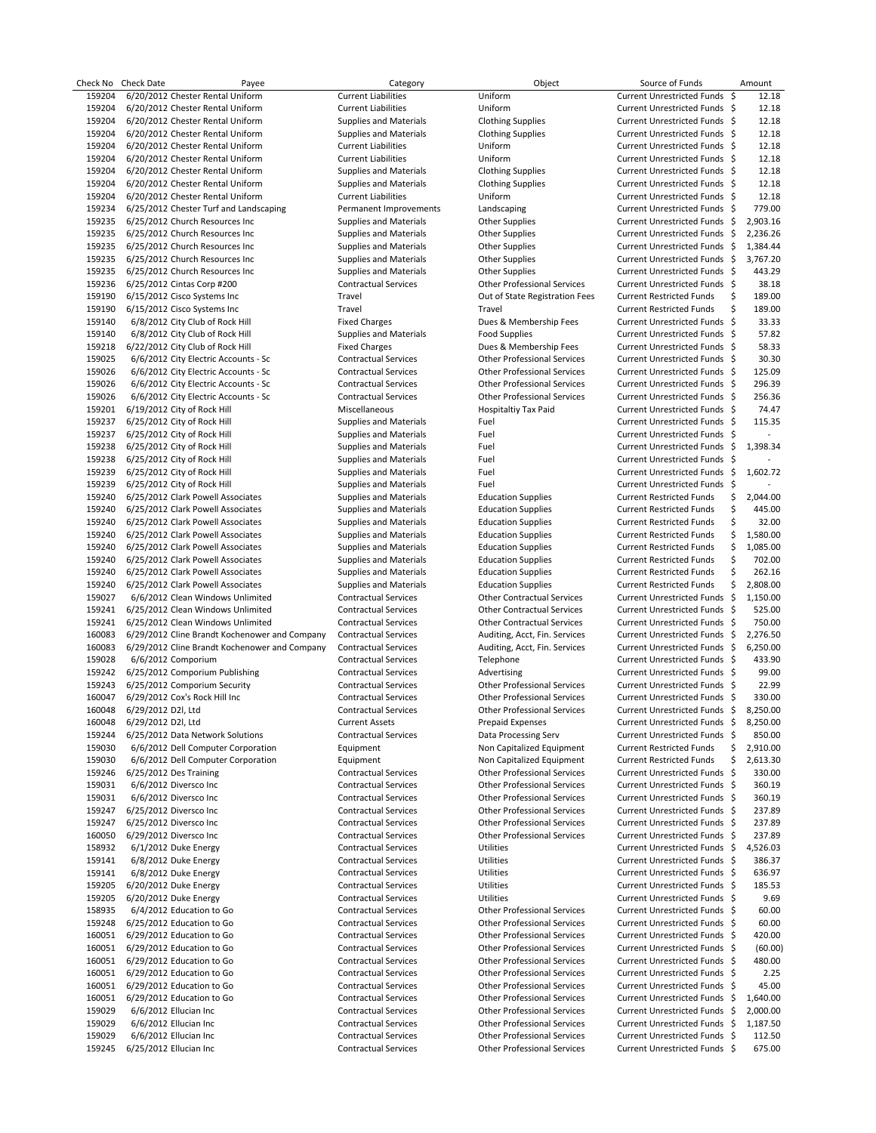| Check No | Check Date         | Payee                                         | Category                      | Object                             | Source of Funds                        | Amount         |
|----------|--------------------|-----------------------------------------------|-------------------------------|------------------------------------|----------------------------------------|----------------|
| 159204   |                    | 6/20/2012 Chester Rental Uniform              | <b>Current Liabilities</b>    | Uniform                            | Current Unrestricted Funds \$          | 12.18          |
| 159204   |                    | 6/20/2012 Chester Rental Uniform              | <b>Current Liabilities</b>    | Uniform                            | Current Unrestricted Funds \$          | 12.18          |
| 159204   |                    | 6/20/2012 Chester Rental Uniform              | <b>Supplies and Materials</b> | <b>Clothing Supplies</b>           | Current Unrestricted Funds \$          | 12.18          |
| 159204   |                    | 6/20/2012 Chester Rental Uniform              | <b>Supplies and Materials</b> | <b>Clothing Supplies</b>           | Current Unrestricted Funds \$          | 12.18          |
| 159204   |                    | 6/20/2012 Chester Rental Uniform              | <b>Current Liabilities</b>    | Uniform                            | Current Unrestricted Funds \$          | 12.18          |
| 159204   |                    | 6/20/2012 Chester Rental Uniform              | <b>Current Liabilities</b>    | Uniform                            | Current Unrestricted Funds \$          | 12.18          |
| 159204   |                    | 6/20/2012 Chester Rental Uniform              | <b>Supplies and Materials</b> | <b>Clothing Supplies</b>           | Current Unrestricted Funds \$          | 12.18          |
|          |                    |                                               |                               |                                    | Current Unrestricted Funds \$          | 12.18          |
| 159204   |                    | 6/20/2012 Chester Rental Uniform              | Supplies and Materials        | <b>Clothing Supplies</b>           |                                        |                |
| 159204   |                    | 6/20/2012 Chester Rental Uniform              | <b>Current Liabilities</b>    | Uniform                            | Current Unrestricted Funds \$          | 12.18          |
| 159234   |                    | 6/25/2012 Chester Turf and Landscaping        | Permanent Improvements        | Landscaping                        | Current Unrestricted Funds \$          | 779.00         |
| 159235   |                    | 6/25/2012 Church Resources Inc                | <b>Supplies and Materials</b> | Other Supplies                     | Current Unrestricted Funds \$          | 2,903.16       |
| 159235   |                    | 6/25/2012 Church Resources Inc                | <b>Supplies and Materials</b> | Other Supplies                     | Current Unrestricted Funds \$          | 2,236.26       |
| 159235   |                    | 6/25/2012 Church Resources Inc                | Supplies and Materials        | <b>Other Supplies</b>              | Current Unrestricted Funds \$          | 1,384.44       |
| 159235   |                    | 6/25/2012 Church Resources Inc                | <b>Supplies and Materials</b> | Other Supplies                     | Current Unrestricted Funds \$          | 3,767.20       |
| 159235   |                    | 6/25/2012 Church Resources Inc                | Supplies and Materials        | Other Supplies                     | Current Unrestricted Funds \$          | 443.29         |
| 159236   |                    | 6/25/2012 Cintas Corp #200                    | <b>Contractual Services</b>   | Other Professional Services        | Current Unrestricted Funds \$          | 38.18          |
| 159190   |                    | 6/15/2012 Cisco Systems Inc                   | Travel                        | Out of State Registration Fees     | <b>Current Restricted Funds</b>        | \$<br>189.00   |
| 159190   |                    | 6/15/2012 Cisco Systems Inc                   | Travel                        | Travel                             | <b>Current Restricted Funds</b>        | \$<br>189.00   |
|          |                    |                                               |                               |                                    | Current Unrestricted Funds \$          | 33.33          |
| 159140   |                    | 6/8/2012 City Club of Rock Hill               | <b>Fixed Charges</b>          | Dues & Membership Fees             |                                        |                |
| 159140   |                    | 6/8/2012 City Club of Rock Hill               | <b>Supplies and Materials</b> | <b>Food Supplies</b>               | Current Unrestricted Funds \$          | 57.82          |
| 159218   |                    | 6/22/2012 City Club of Rock Hill              | <b>Fixed Charges</b>          | Dues & Membership Fees             | Current Unrestricted Funds \$          | 58.33          |
| 159025   |                    | 6/6/2012 City Electric Accounts - Sc          | <b>Contractual Services</b>   | <b>Other Professional Services</b> | Current Unrestricted Funds \$          | 30.30          |
| 159026   |                    | 6/6/2012 City Electric Accounts - Sc          | <b>Contractual Services</b>   | <b>Other Professional Services</b> | Current Unrestricted Funds \$          | 125.09         |
| 159026   |                    | 6/6/2012 City Electric Accounts - Sc          | <b>Contractual Services</b>   | <b>Other Professional Services</b> | Current Unrestricted Funds \$          | 296.39         |
| 159026   |                    | 6/6/2012 City Electric Accounts - Sc          | <b>Contractual Services</b>   | <b>Other Professional Services</b> | Current Unrestricted Funds \$          | 256.36         |
| 159201   |                    | 6/19/2012 City of Rock Hill                   | Miscellaneous                 | Hospitaltiy Tax Paid               | Current Unrestricted Funds \$          | 74.47          |
| 159237   |                    | 6/25/2012 City of Rock Hill                   | <b>Supplies and Materials</b> | Fuel                               | Current Unrestricted Funds \$          | 115.35         |
| 159237   |                    | 6/25/2012 City of Rock Hill                   | <b>Supplies and Materials</b> | Fuel                               | Current Unrestricted Funds \$          |                |
|          |                    |                                               |                               |                                    |                                        |                |
| 159238   |                    | 6/25/2012 City of Rock Hill                   | <b>Supplies and Materials</b> | Fuel                               | Current Unrestricted Funds \$          | 1,398.34       |
| 159238   |                    | 6/25/2012 City of Rock Hill                   | Supplies and Materials        | Fuel                               | Current Unrestricted Funds \$          |                |
| 159239   |                    | 6/25/2012 City of Rock Hill                   | <b>Supplies and Materials</b> | Fuel                               | Current Unrestricted Funds \$          | 1,602.72       |
| 159239   |                    | 6/25/2012 City of Rock Hill                   | <b>Supplies and Materials</b> | Fuel                               | Current Unrestricted Funds \$          |                |
| 159240   |                    | 6/25/2012 Clark Powell Associates             | Supplies and Materials        | <b>Education Supplies</b>          | <b>Current Restricted Funds</b>        | \$<br>2,044.00 |
| 159240   |                    | 6/25/2012 Clark Powell Associates             | <b>Supplies and Materials</b> | <b>Education Supplies</b>          | <b>Current Restricted Funds</b>        | \$<br>445.00   |
| 159240   |                    | 6/25/2012 Clark Powell Associates             | <b>Supplies and Materials</b> | <b>Education Supplies</b>          | <b>Current Restricted Funds</b>        | \$<br>32.00    |
| 159240   |                    | 6/25/2012 Clark Powell Associates             | <b>Supplies and Materials</b> | <b>Education Supplies</b>          | <b>Current Restricted Funds</b>        | \$<br>1,580.00 |
| 159240   |                    | 6/25/2012 Clark Powell Associates             | Supplies and Materials        | <b>Education Supplies</b>          | <b>Current Restricted Funds</b>        | \$<br>1,085.00 |
|          |                    |                                               |                               |                                    |                                        |                |
| 159240   |                    | 6/25/2012 Clark Powell Associates             | Supplies and Materials        | <b>Education Supplies</b>          | <b>Current Restricted Funds</b>        | \$<br>702.00   |
| 159240   |                    | 6/25/2012 Clark Powell Associates             | <b>Supplies and Materials</b> | <b>Education Supplies</b>          | <b>Current Restricted Funds</b>        | \$<br>262.16   |
| 159240   |                    | 6/25/2012 Clark Powell Associates             | <b>Supplies and Materials</b> | <b>Education Supplies</b>          | <b>Current Restricted Funds</b>        | \$<br>2,808.00 |
| 159027   |                    | 6/6/2012 Clean Windows Unlimited              | <b>Contractual Services</b>   | <b>Other Contractual Services</b>  | Current Unrestricted Funds \$          | 1,150.00       |
| 159241   |                    | 6/25/2012 Clean Windows Unlimited             | <b>Contractual Services</b>   | <b>Other Contractual Services</b>  | Current Unrestricted Funds \$          | 525.00         |
| 159241   |                    | 6/25/2012 Clean Windows Unlimited             | <b>Contractual Services</b>   | <b>Other Contractual Services</b>  | Current Unrestricted Funds \$          | 750.00         |
| 160083   |                    | 6/29/2012 Cline Brandt Kochenower and Company | <b>Contractual Services</b>   | Auditing, Acct, Fin. Services      | Current Unrestricted Funds \$          | 2,276.50       |
| 160083   |                    | 6/29/2012 Cline Brandt Kochenower and Company | <b>Contractual Services</b>   | Auditing, Acct, Fin. Services      | Current Unrestricted Funds \$          | 6,250.00       |
| 159028   |                    | 6/6/2012 Comporium                            | <b>Contractual Services</b>   | Telephone                          | Current Unrestricted Funds \$          | 433.90         |
| 159242   |                    | 6/25/2012 Comporium Publishing                | <b>Contractual Services</b>   | Advertising                        | Current Unrestricted Funds \$          | 99.00          |
| 159243   |                    | 6/25/2012 Comporium Security                  | <b>Contractual Services</b>   | Other Professional Services        | Current Unrestricted Funds \$          | 22.99          |
|          |                    |                                               |                               |                                    |                                        |                |
| 160047   |                    | 6/29/2012 Cox's Rock Hill Inc                 | <b>Contractual Services</b>   | <b>Other Professional Services</b> | Current Unrestricted Funds \$          | 330.00         |
| 160048   | 6/29/2012 D2I, Ltd |                                               | <b>Contractual Services</b>   | <b>Other Professional Services</b> | Current Unrestricted Funds \$ 8,250.00 |                |
| 160048   | 6/29/2012 D2I, Ltd |                                               | <b>Current Assets</b>         | <b>Prepaid Expenses</b>            | Current Unrestricted Funds             | \$<br>8,250.00 |
| 159244   |                    | 6/25/2012 Data Network Solutions              | <b>Contractual Services</b>   | Data Processing Serv               | Current Unrestricted Funds \$          | 850.00         |
| 159030   |                    | 6/6/2012 Dell Computer Corporation            | Equipment                     | Non Capitalized Equipment          | <b>Current Restricted Funds</b>        | \$<br>2,910.00 |
| 159030   |                    | 6/6/2012 Dell Computer Corporation            | Equipment                     | Non Capitalized Equipment          | <b>Current Restricted Funds</b>        | \$<br>2,613.30 |
| 159246   |                    | 6/25/2012 Des Training                        | <b>Contractual Services</b>   | Other Professional Services        | Current Unrestricted Funds \$          | 330.00         |
| 159031   |                    | 6/6/2012 Diversco Inc                         | <b>Contractual Services</b>   | <b>Other Professional Services</b> | Current Unrestricted Funds \$          | 360.19         |
| 159031   |                    | 6/6/2012 Diversco Inc                         | <b>Contractual Services</b>   | Other Professional Services        | Current Unrestricted Funds \$          | 360.19         |
| 159247   |                    | 6/25/2012 Diversco Inc                        | <b>Contractual Services</b>   | <b>Other Professional Services</b> | Current Unrestricted Funds \$          | 237.89         |
| 159247   |                    |                                               |                               |                                    |                                        |                |
|          |                    | 6/25/2012 Diversco Inc                        | <b>Contractual Services</b>   | Other Professional Services        | Current Unrestricted Funds \$          | 237.89         |
| 160050   |                    | 6/29/2012 Diversco Inc                        | <b>Contractual Services</b>   | <b>Other Professional Services</b> | Current Unrestricted Funds \$          | 237.89         |
| 158932   |                    | 6/1/2012 Duke Energy                          | <b>Contractual Services</b>   | Utilities                          | Current Unrestricted Funds \$          | 4,526.03       |
| 159141   |                    | 6/8/2012 Duke Energy                          | <b>Contractual Services</b>   | Utilities                          | Current Unrestricted Funds \$          | 386.37         |
| 159141   |                    | 6/8/2012 Duke Energy                          | <b>Contractual Services</b>   | Utilities                          | Current Unrestricted Funds \$          | 636.97         |
| 159205   |                    | 6/20/2012 Duke Energy                         | <b>Contractual Services</b>   | Utilities                          | Current Unrestricted Funds \$          | 185.53         |
| 159205   |                    | 6/20/2012 Duke Energy                         | <b>Contractual Services</b>   | Utilities                          | Current Unrestricted Funds \$          | 9.69           |
| 158935   |                    | 6/4/2012 Education to Go                      | <b>Contractual Services</b>   | Other Professional Services        | Current Unrestricted Funds \$          | 60.00          |
| 159248   |                    | 6/25/2012 Education to Go                     | <b>Contractual Services</b>   | <b>Other Professional Services</b> | Current Unrestricted Funds \$          | 60.00          |
| 160051   |                    | 6/29/2012 Education to Go                     | <b>Contractual Services</b>   | Other Professional Services        | Current Unrestricted Funds \$          | 420.00         |
| 160051   |                    | 6/29/2012 Education to Go                     | <b>Contractual Services</b>   | Other Professional Services        | Current Unrestricted Funds \$          | (60.00)        |
|          |                    |                                               |                               |                                    |                                        |                |
| 160051   |                    | 6/29/2012 Education to Go                     | <b>Contractual Services</b>   | Other Professional Services        | Current Unrestricted Funds \$          | 480.00         |
| 160051   |                    | 6/29/2012 Education to Go                     | <b>Contractual Services</b>   | Other Professional Services        | Current Unrestricted Funds \$          | 2.25           |
| 160051   |                    | 6/29/2012 Education to Go                     | <b>Contractual Services</b>   | Other Professional Services        | Current Unrestricted Funds \$          | 45.00          |
| 160051   |                    | 6/29/2012 Education to Go                     | <b>Contractual Services</b>   | Other Professional Services        | Current Unrestricted Funds \$          | 1,640.00       |
| 159029   |                    | 6/6/2012 Ellucian Inc                         | <b>Contractual Services</b>   | Other Professional Services        | Current Unrestricted Funds \$          | 2,000.00       |
| 159029   |                    | 6/6/2012 Ellucian Inc                         | <b>Contractual Services</b>   | <b>Other Professional Services</b> | Current Unrestricted Funds \$          | 1,187.50       |
| 159029   |                    | 6/6/2012 Ellucian Inc                         | <b>Contractual Services</b>   | Other Professional Services        | Current Unrestricted Funds \$          | 112.50         |
| 159245   |                    | 6/25/2012 Ellucian Inc                        | <b>Contractual Services</b>   | <b>Other Professional Services</b> | Current Unrestricted Funds \$          | 675.00         |
|          |                    |                                               |                               |                                    |                                        |                |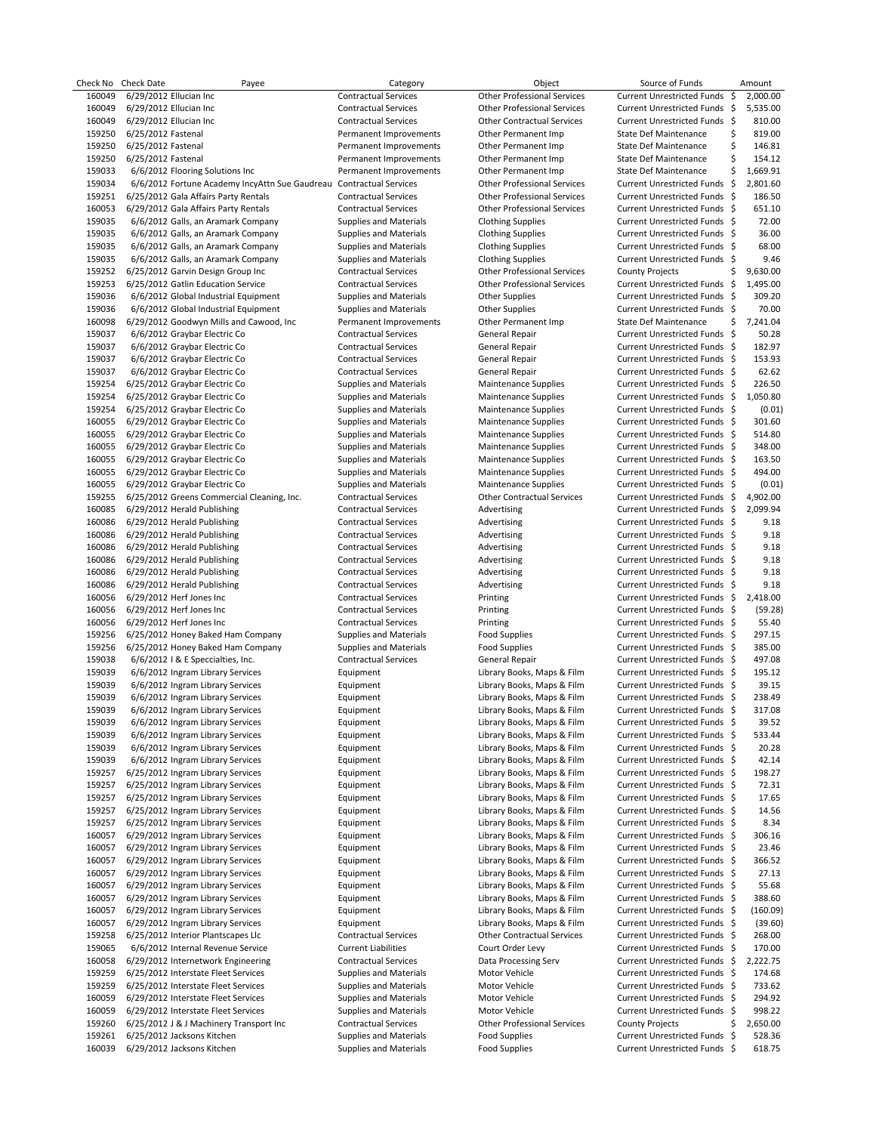| Check No | <b>Check Date</b>  | Payee                                          | Category                      | Object                             | Source of Funds                   | Amount          |
|----------|--------------------|------------------------------------------------|-------------------------------|------------------------------------|-----------------------------------|-----------------|
| 160049   |                    | 6/29/2012 Ellucian Inc                         | <b>Contractual Services</b>   | <b>Other Professional Services</b> | <b>Current Unrestricted Funds</b> | -\$<br>2,000.00 |
| 160049   |                    | 6/29/2012 Ellucian Inc                         | <b>Contractual Services</b>   | <b>Other Professional Services</b> | Current Unrestricted Funds \$     | 5,535.00        |
| 160049   |                    | 6/29/2012 Ellucian Inc                         | <b>Contractual Services</b>   | <b>Other Contractual Services</b>  | Current Unrestricted Funds \$     | 810.00          |
| 159250   | 6/25/2012 Fastenal |                                                | Permanent Improvements        | Other Permanent Imp                | <b>State Def Maintenance</b>      | 819.00<br>\$    |
| 159250   | 6/25/2012 Fastenal |                                                | Permanent Improvements        | Other Permanent Imp                | State Def Maintenance             | \$<br>146.81    |
| 159250   |                    |                                                |                               |                                    | State Def Maintenance             | \$<br>154.12    |
|          | 6/25/2012 Fastenal |                                                | Permanent Improvements        | Other Permanent Imp                |                                   |                 |
| 159033   |                    | 6/6/2012 Flooring Solutions Inc                | Permanent Improvements        | Other Permanent Imp                | <b>State Def Maintenance</b>      | \$<br>1,669.91  |
| 159034   |                    | 6/6/2012 Fortune Academy IncyAttn Sue Gaudreau | <b>Contractual Services</b>   | <b>Other Professional Services</b> | Current Unrestricted Funds \$     | 2,801.60        |
| 159251   |                    | 6/25/2012 Gala Affairs Party Rentals           | <b>Contractual Services</b>   | <b>Other Professional Services</b> | Current Unrestricted Funds \$     | 186.50          |
| 160053   |                    | 6/29/2012 Gala Affairs Party Rentals           | <b>Contractual Services</b>   | <b>Other Professional Services</b> | Current Unrestricted Funds \$     | 651.10          |
| 159035   |                    | 6/6/2012 Galls, an Aramark Company             | <b>Supplies and Materials</b> | <b>Clothing Supplies</b>           | Current Unrestricted Funds \$     | 72.00           |
| 159035   |                    | 6/6/2012 Galls, an Aramark Company             | <b>Supplies and Materials</b> | <b>Clothing Supplies</b>           | Current Unrestricted Funds \$     | 36.00           |
| 159035   |                    | 6/6/2012 Galls, an Aramark Company             | <b>Supplies and Materials</b> | <b>Clothing Supplies</b>           | Current Unrestricted Funds \$     | 68.00           |
| 159035   |                    |                                                |                               |                                    | Current Unrestricted Funds \$     | 9.46            |
|          |                    | 6/6/2012 Galls, an Aramark Company             | Supplies and Materials        | <b>Clothing Supplies</b>           |                                   |                 |
| 159252   |                    | 6/25/2012 Garvin Design Group Inc              | <b>Contractual Services</b>   | <b>Other Professional Services</b> | <b>County Projects</b>            | \$<br>9,630.00  |
| 159253   |                    | 6/25/2012 Gatlin Education Service             | <b>Contractual Services</b>   | <b>Other Professional Services</b> | Current Unrestricted Funds \$     | 1,495.00        |
| 159036   |                    | 6/6/2012 Global Industrial Equipment           | <b>Supplies and Materials</b> | <b>Other Supplies</b>              | Current Unrestricted Funds \$     | 309.20          |
| 159036   |                    | 6/6/2012 Global Industrial Equipment           | <b>Supplies and Materials</b> | <b>Other Supplies</b>              | Current Unrestricted Funds \$     | 70.00           |
| 160098   |                    | 6/29/2012 Goodwyn Mills and Cawood, Inc        | Permanent Improvements        | Other Permanent Imp                | <b>State Def Maintenance</b>      | \$<br>7,241.04  |
| 159037   |                    | 6/6/2012 Graybar Electric Co                   | <b>Contractual Services</b>   | General Repair                     | Current Unrestricted Funds \$     | 50.28           |
| 159037   |                    | 6/6/2012 Graybar Electric Co                   | <b>Contractual Services</b>   | General Repair                     | Current Unrestricted Funds \$     | 182.97          |
| 159037   |                    | 6/6/2012 Graybar Electric Co                   | <b>Contractual Services</b>   | General Repair                     | Current Unrestricted Funds \$     | 153.93          |
| 159037   |                    |                                                | <b>Contractual Services</b>   |                                    | Current Unrestricted Funds \$     | 62.62           |
|          |                    | 6/6/2012 Graybar Electric Co                   |                               | General Repair                     |                                   |                 |
| 159254   |                    | 6/25/2012 Graybar Electric Co                  | <b>Supplies and Materials</b> | <b>Maintenance Supplies</b>        | Current Unrestricted Funds \$     | 226.50          |
| 159254   |                    | 6/25/2012 Graybar Electric Co                  | <b>Supplies and Materials</b> | <b>Maintenance Supplies</b>        | Current Unrestricted Funds \$     | 1,050.80        |
| 159254   |                    | 6/25/2012 Graybar Electric Co                  | <b>Supplies and Materials</b> | <b>Maintenance Supplies</b>        | Current Unrestricted Funds \$     | (0.01)          |
| 160055   |                    | 6/29/2012 Graybar Electric Co                  | <b>Supplies and Materials</b> | <b>Maintenance Supplies</b>        | Current Unrestricted Funds \$     | 301.60          |
| 160055   |                    | 6/29/2012 Graybar Electric Co                  | Supplies and Materials        | <b>Maintenance Supplies</b>        | Current Unrestricted Funds \$     | 514.80          |
| 160055   |                    | 6/29/2012 Graybar Electric Co                  | <b>Supplies and Materials</b> | <b>Maintenance Supplies</b>        | Current Unrestricted Funds \$     | 348.00          |
| 160055   |                    | 6/29/2012 Graybar Electric Co                  | <b>Supplies and Materials</b> | <b>Maintenance Supplies</b>        | Current Unrestricted Funds \$     | 163.50          |
| 160055   |                    | 6/29/2012 Graybar Electric Co                  | <b>Supplies and Materials</b> | <b>Maintenance Supplies</b>        | Current Unrestricted Funds \$     | 494.00          |
|          |                    |                                                |                               |                                    |                                   |                 |
| 160055   |                    | 6/29/2012 Graybar Electric Co                  | <b>Supplies and Materials</b> | <b>Maintenance Supplies</b>        | Current Unrestricted Funds \$     | (0.01)          |
| 159255   |                    | 6/25/2012 Greens Commercial Cleaning, Inc.     | <b>Contractual Services</b>   | <b>Other Contractual Services</b>  | Current Unrestricted Funds \$     | 4,902.00        |
| 160085   |                    | 6/29/2012 Herald Publishing                    | <b>Contractual Services</b>   | Advertising                        | Current Unrestricted Funds \$     | 2,099.94        |
| 160086   |                    | 6/29/2012 Herald Publishing                    | <b>Contractual Services</b>   | Advertising                        | Current Unrestricted Funds \$     | 9.18            |
| 160086   |                    | 6/29/2012 Herald Publishing                    | <b>Contractual Services</b>   | Advertising                        | Current Unrestricted Funds \$     | 9.18            |
| 160086   |                    | 6/29/2012 Herald Publishing                    | <b>Contractual Services</b>   | Advertising                        | Current Unrestricted Funds \$     | 9.18            |
| 160086   |                    | 6/29/2012 Herald Publishing                    | <b>Contractual Services</b>   | Advertising                        | Current Unrestricted Funds \$     | 9.18            |
| 160086   |                    | 6/29/2012 Herald Publishing                    | <b>Contractual Services</b>   | Advertising                        | Current Unrestricted Funds \$     | 9.18            |
| 160086   |                    |                                                |                               |                                    |                                   | 9.18            |
|          |                    | 6/29/2012 Herald Publishing                    | <b>Contractual Services</b>   | Advertising                        | Current Unrestricted Funds \$     |                 |
| 160056   |                    | 6/29/2012 Herf Jones Inc                       | <b>Contractual Services</b>   | Printing                           | Current Unrestricted Funds \$     | 2,418.00        |
| 160056   |                    | 6/29/2012 Herf Jones Inc                       | <b>Contractual Services</b>   | Printing                           | Current Unrestricted Funds \$     | (59.28)         |
| 160056   |                    | 6/29/2012 Herf Jones Inc                       | <b>Contractual Services</b>   | Printing                           | Current Unrestricted Funds \$     | 55.40           |
| 159256   |                    | 6/25/2012 Honey Baked Ham Company              | Supplies and Materials        | Food Supplies                      | Current Unrestricted Funds \$     | 297.15          |
| 159256   |                    | 6/25/2012 Honey Baked Ham Company              | <b>Supplies and Materials</b> | <b>Food Supplies</b>               | Current Unrestricted Funds \$     | 385.00          |
| 159038   |                    | 6/6/2012   & E Speccialties, Inc.              | <b>Contractual Services</b>   | General Repair                     | Current Unrestricted Funds \$     | 497.08          |
| 159039   |                    | 6/6/2012 Ingram Library Services               | Equipment                     | Library Books, Maps & Film         | Current Unrestricted Funds \$     | 195.12          |
| 159039   |                    | 6/6/2012 Ingram Library Services               | Equipment                     | Library Books, Maps & Film         | Current Unrestricted Funds \$     | 39.15           |
|          |                    |                                                |                               |                                    |                                   | 238.49          |
| 159039   |                    | 6/6/2012 Ingram Library Services               | Equipment                     | Library Books, Maps & Film         | Current Unrestricted Funds \$     |                 |
| 159039   |                    | 6/6/2012 Ingram Library Services               | Equipment                     | Library Books, Maps & Film         | Current Unrestricted Funds \$     | 317.08          |
| 159039   |                    | 6/6/2012 Ingram Library Services               | Equipment                     | Library Books, Maps & Film         | Current Unrestricted Funds \$     | 39.52           |
| 159039   |                    | 6/6/2012 Ingram Library Services               | Equipment                     | Library Books, Maps & Film         | Current Unrestricted Funds \$     | 533.44          |
| 159039   |                    | 6/6/2012 Ingram Library Services               | Equipment                     | Library Books, Maps & Film         | Current Unrestricted Funds \$     | 20.28           |
| 159039   |                    | 6/6/2012 Ingram Library Services               | Equipment                     | Library Books, Maps & Film         | Current Unrestricted Funds \$     | 42.14           |
| 159257   |                    | 6/25/2012 Ingram Library Services              | Equipment                     | Library Books, Maps & Film         | Current Unrestricted Funds \$     | 198.27          |
| 159257   |                    | 6/25/2012 Ingram Library Services              | Equipment                     | Library Books, Maps & Film         | Current Unrestricted Funds \$     | 72.31           |
| 159257   |                    | 6/25/2012 Ingram Library Services              | Equipment                     | Library Books, Maps & Film         | Current Unrestricted Funds \$     | 17.65           |
| 159257   |                    | 6/25/2012 Ingram Library Services              | Equipment                     | Library Books, Maps & Film         | Current Unrestricted Funds \$     | 14.56           |
| 159257   |                    | 6/25/2012 Ingram Library Services              | Equipment                     | Library Books, Maps & Film         | Current Unrestricted Funds \$     | 8.34            |
|          |                    |                                                |                               |                                    |                                   |                 |
| 160057   |                    | 6/29/2012 Ingram Library Services              | Equipment                     | Library Books, Maps & Film         | Current Unrestricted Funds \$     | 306.16          |
| 160057   |                    | 6/29/2012 Ingram Library Services              | Equipment                     | Library Books, Maps & Film         | Current Unrestricted Funds \$     | 23.46           |
| 160057   |                    | 6/29/2012 Ingram Library Services              | Equipment                     | Library Books, Maps & Film         | Current Unrestricted Funds \$     | 366.52          |
| 160057   |                    | 6/29/2012 Ingram Library Services              | Equipment                     | Library Books, Maps & Film         | Current Unrestricted Funds \$     | 27.13           |
| 160057   |                    | 6/29/2012 Ingram Library Services              | Equipment                     | Library Books, Maps & Film         | Current Unrestricted Funds \$     | 55.68           |
| 160057   |                    | 6/29/2012 Ingram Library Services              | Equipment                     | Library Books, Maps & Film         | Current Unrestricted Funds \$     | 388.60          |
| 160057   |                    | 6/29/2012 Ingram Library Services              | Equipment                     | Library Books, Maps & Film         | Current Unrestricted Funds \$     | (160.09)        |
| 160057   |                    | 6/29/2012 Ingram Library Services              | Equipment                     | Library Books, Maps & Film         | Current Unrestricted Funds \$     | (39.60)         |
| 159258   |                    | 6/25/2012 Interior Plantscapes Llc             | <b>Contractual Services</b>   | <b>Other Contractual Services</b>  | Current Unrestricted Funds \$     | 268.00          |
| 159065   |                    | 6/6/2012 Internal Revenue Service              | <b>Current Liabilities</b>    | Court Order Levy                   | Current Unrestricted Funds \$     | 170.00          |
|          |                    |                                                |                               |                                    |                                   |                 |
| 160058   |                    | 6/29/2012 Internetwork Engineering             | <b>Contractual Services</b>   | Data Processing Serv               | Current Unrestricted Funds \$     | 2,222.75        |
| 159259   |                    | 6/25/2012 Interstate Fleet Services            | <b>Supplies and Materials</b> | Motor Vehicle                      | Current Unrestricted Funds \$     | 174.68          |
| 159259   |                    | 6/25/2012 Interstate Fleet Services            | Supplies and Materials        | Motor Vehicle                      | Current Unrestricted Funds \$     | 733.62          |
| 160059   |                    | 6/29/2012 Interstate Fleet Services            | Supplies and Materials        | Motor Vehicle                      | Current Unrestricted Funds \$     | 294.92          |
| 160059   |                    | 6/29/2012 Interstate Fleet Services            | <b>Supplies and Materials</b> | Motor Vehicle                      | Current Unrestricted Funds \$     | 998.22          |
| 159260   |                    | 6/25/2012 J & J Machinery Transport Inc        | <b>Contractual Services</b>   | <b>Other Professional Services</b> | <b>County Projects</b>            | \$<br>2,650.00  |
| 159261   |                    | 6/25/2012 Jacksons Kitchen                     | <b>Supplies and Materials</b> | <b>Food Supplies</b>               | Current Unrestricted Funds \$     | 528.36          |
| 160039   |                    | 6/29/2012 Jacksons Kitchen                     | Supplies and Materials        | <b>Food Supplies</b>               | Current Unrestricted Funds \$     | 618.75          |
|          |                    |                                                |                               |                                    |                                   |                 |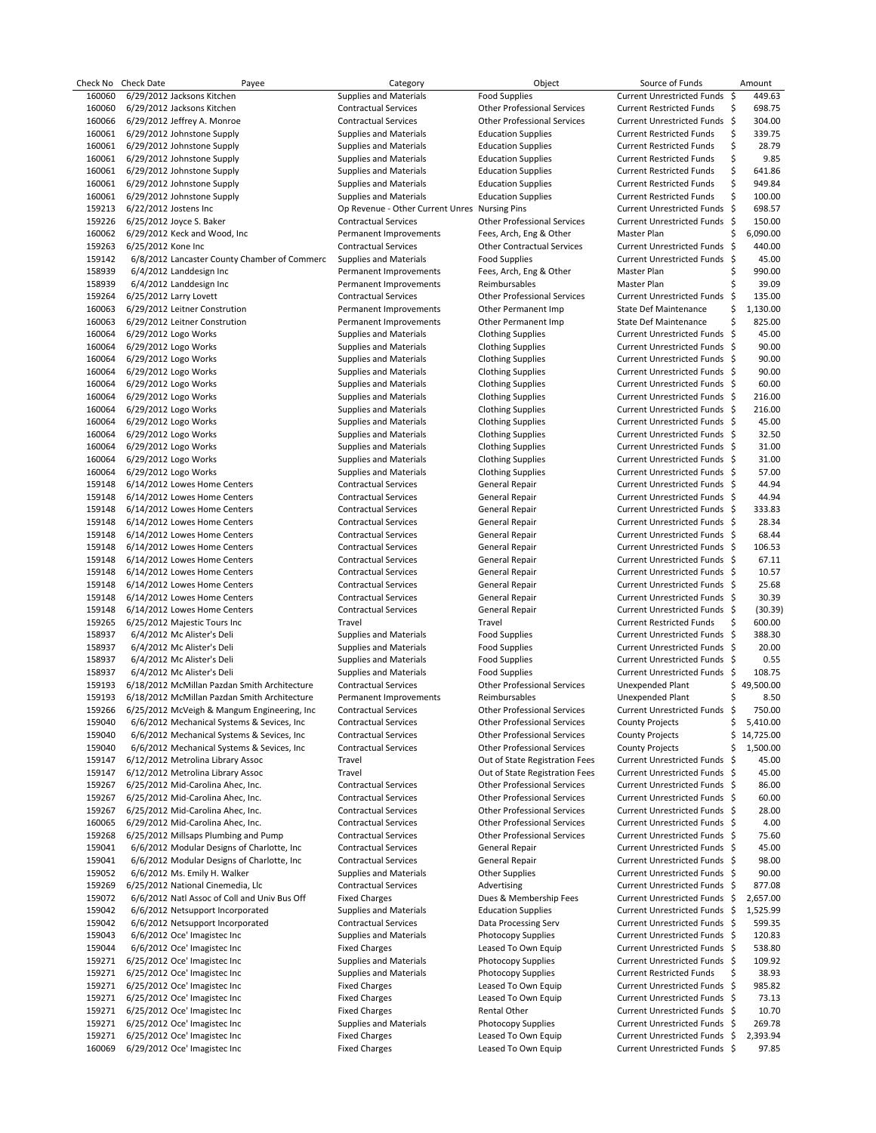|                  | Check No Check Date        | Payee                                                           | Category                                                     | Object                                                       | Source of Funds                                                  |     | Amount             |
|------------------|----------------------------|-----------------------------------------------------------------|--------------------------------------------------------------|--------------------------------------------------------------|------------------------------------------------------------------|-----|--------------------|
| 160060           | 6/29/2012 Jacksons Kitchen |                                                                 | <b>Supplies and Materials</b>                                | <b>Food Supplies</b>                                         | Current Unrestricted Funds \$                                    |     | 449.63             |
| 160060           | 6/29/2012 Jacksons Kitchen |                                                                 | <b>Contractual Services</b>                                  | <b>Other Professional Services</b>                           | <b>Current Restricted Funds</b>                                  | \$  | 698.75             |
| 160066           |                            | 6/29/2012 Jeffrey A. Monroe                                     | <b>Contractual Services</b>                                  | <b>Other Professional Services</b>                           | Current Unrestricted Funds                                       | -\$ | 304.00             |
| 160061           |                            | 6/29/2012 Johnstone Supply                                      | <b>Supplies and Materials</b>                                | <b>Education Supplies</b>                                    | <b>Current Restricted Funds</b>                                  | \$  | 339.75             |
| 160061           |                            | 6/29/2012 Johnstone Supply                                      | <b>Supplies and Materials</b>                                | <b>Education Supplies</b>                                    | <b>Current Restricted Funds</b>                                  | \$  | 28.79              |
| 160061           |                            | 6/29/2012 Johnstone Supply                                      | <b>Supplies and Materials</b>                                | <b>Education Supplies</b>                                    | <b>Current Restricted Funds</b>                                  | \$  | 9.85               |
| 160061           |                            | 6/29/2012 Johnstone Supply                                      | <b>Supplies and Materials</b>                                | <b>Education Supplies</b>                                    | <b>Current Restricted Funds</b>                                  | \$  | 641.86             |
| 160061           |                            | 6/29/2012 Johnstone Supply                                      | <b>Supplies and Materials</b>                                | <b>Education Supplies</b>                                    | <b>Current Restricted Funds</b>                                  | \$  | 949.84             |
| 160061           |                            | 6/29/2012 Johnstone Supply                                      | <b>Supplies and Materials</b>                                | <b>Education Supplies</b>                                    | <b>Current Restricted Funds</b>                                  | \$  | 100.00             |
| 159213           | 6/22/2012 Jostens Inc      |                                                                 | Op Revenue - Other Current Unres Nursing Pins                |                                                              | Current Unrestricted Funds \$                                    |     | 698.57             |
| 159226           | 6/25/2012 Joyce S. Baker   |                                                                 | <b>Contractual Services</b>                                  | <b>Other Professional Services</b>                           | Current Unrestricted Funds \$<br>Master Plan                     | \$  | 150.00<br>6.090.00 |
| 160062<br>159263 | 6/25/2012 Kone Inc         | 6/29/2012 Keck and Wood, Inc                                    | Permanent Improvements<br><b>Contractual Services</b>        | Fees, Arch, Eng & Other<br><b>Other Contractual Services</b> | Current Unrestricted Funds \$                                    |     | 440.00             |
| 159142           |                            | 6/8/2012 Lancaster County Chamber of Commerc                    | Supplies and Materials                                       | <b>Food Supplies</b>                                         | Current Unrestricted Funds \$                                    |     | 45.00              |
| 158939           | 6/4/2012 Landdesign Inc    |                                                                 | Permanent Improvements                                       | Fees, Arch, Eng & Other                                      | Master Plan                                                      | \$  | 990.00             |
| 158939           | 6/4/2012 Landdesign Inc    |                                                                 | Permanent Improvements                                       | Reimbursables                                                | Master Plan                                                      | \$  | 39.09              |
| 159264           | 6/25/2012 Larry Lovett     |                                                                 | <b>Contractual Services</b>                                  | <b>Other Professional Services</b>                           | Current Unrestricted Funds \$                                    |     | 135.00             |
| 160063           |                            | 6/29/2012 Leitner Constrution                                   | Permanent Improvements                                       | Other Permanent Imp                                          | State Def Maintenance                                            | \$  | 1,130.00           |
| 160063           |                            | 6/29/2012 Leitner Constrution                                   | Permanent Improvements                                       | Other Permanent Imp                                          | State Def Maintenance                                            | \$  | 825.00             |
| 160064           | 6/29/2012 Logo Works       |                                                                 | <b>Supplies and Materials</b>                                | <b>Clothing Supplies</b>                                     | Current Unrestricted Funds \$                                    |     | 45.00              |
| 160064           | 6/29/2012 Logo Works       |                                                                 | Supplies and Materials                                       | <b>Clothing Supplies</b>                                     | Current Unrestricted Funds \$                                    |     | 90.00              |
| 160064           | 6/29/2012 Logo Works       |                                                                 | <b>Supplies and Materials</b>                                | <b>Clothing Supplies</b>                                     | Current Unrestricted Funds \$                                    |     | 90.00              |
| 160064           | 6/29/2012 Logo Works       |                                                                 | <b>Supplies and Materials</b>                                | <b>Clothing Supplies</b>                                     | Current Unrestricted Funds \$                                    |     | 90.00              |
| 160064           | 6/29/2012 Logo Works       |                                                                 | <b>Supplies and Materials</b>                                | <b>Clothing Supplies</b>                                     | Current Unrestricted Funds \$                                    |     | 60.00              |
| 160064           | 6/29/2012 Logo Works       |                                                                 | Supplies and Materials                                       | <b>Clothing Supplies</b>                                     | Current Unrestricted Funds \$                                    |     | 216.00             |
| 160064           | 6/29/2012 Logo Works       |                                                                 | <b>Supplies and Materials</b>                                | <b>Clothing Supplies</b>                                     | Current Unrestricted Funds \$                                    |     | 216.00             |
| 160064           | 6/29/2012 Logo Works       |                                                                 | Supplies and Materials                                       | <b>Clothing Supplies</b>                                     | Current Unrestricted Funds \$                                    |     | 45.00              |
| 160064           | 6/29/2012 Logo Works       |                                                                 | <b>Supplies and Materials</b>                                | <b>Clothing Supplies</b>                                     | Current Unrestricted Funds \$                                    |     | 32.50              |
| 160064           | 6/29/2012 Logo Works       |                                                                 | <b>Supplies and Materials</b>                                | <b>Clothing Supplies</b>                                     | Current Unrestricted Funds \$                                    |     | 31.00              |
| 160064           | 6/29/2012 Logo Works       |                                                                 | <b>Supplies and Materials</b>                                | <b>Clothing Supplies</b>                                     | Current Unrestricted Funds \$                                    |     | 31.00              |
| 160064           | 6/29/2012 Logo Works       |                                                                 | <b>Supplies and Materials</b>                                | <b>Clothing Supplies</b>                                     | Current Unrestricted Funds \$                                    |     | 57.00              |
| 159148           |                            | 6/14/2012 Lowes Home Centers                                    | <b>Contractual Services</b>                                  | General Repair                                               | Current Unrestricted Funds \$                                    |     | 44.94              |
| 159148           |                            | 6/14/2012 Lowes Home Centers                                    | <b>Contractual Services</b>                                  | General Repair                                               | Current Unrestricted Funds \$                                    |     | 44.94              |
| 159148           |                            | 6/14/2012 Lowes Home Centers                                    | <b>Contractual Services</b>                                  | General Repair                                               | Current Unrestricted Funds \$                                    |     | 333.83             |
| 159148           |                            | 6/14/2012 Lowes Home Centers                                    | <b>Contractual Services</b>                                  | General Repair                                               | Current Unrestricted Funds \$                                    |     | 28.34              |
| 159148           |                            | 6/14/2012 Lowes Home Centers                                    | <b>Contractual Services</b>                                  | General Repair                                               | Current Unrestricted Funds \$                                    |     | 68.44              |
| 159148           |                            | 6/14/2012 Lowes Home Centers                                    | <b>Contractual Services</b>                                  | General Repair                                               | Current Unrestricted Funds \$                                    |     | 106.53             |
| 159148           |                            | 6/14/2012 Lowes Home Centers                                    | <b>Contractual Services</b>                                  | General Repair                                               | Current Unrestricted Funds \$                                    |     | 67.11              |
| 159148           |                            | 6/14/2012 Lowes Home Centers                                    | <b>Contractual Services</b>                                  | General Repair                                               | Current Unrestricted Funds \$                                    |     | 10.57              |
| 159148           |                            | 6/14/2012 Lowes Home Centers                                    | <b>Contractual Services</b>                                  | General Repair                                               | Current Unrestricted Funds \$                                    |     | 25.68              |
| 159148           |                            | 6/14/2012 Lowes Home Centers                                    | <b>Contractual Services</b>                                  | General Repair                                               | Current Unrestricted Funds \$                                    |     | 30.39              |
| 159148<br>159265 |                            | 6/14/2012 Lowes Home Centers<br>6/25/2012 Majestic Tours Inc    | <b>Contractual Services</b><br>Travel                        | General Repair<br>Travel                                     | Current Unrestricted Funds \$<br><b>Current Restricted Funds</b> | \$  | (30.39)<br>600.00  |
| 158937           |                            | 6/4/2012 Mc Alister's Deli                                      | <b>Supplies and Materials</b>                                | <b>Food Supplies</b>                                         | Current Unrestricted Funds \$                                    |     | 388.30             |
| 158937           |                            | 6/4/2012 Mc Alister's Deli                                      | <b>Supplies and Materials</b>                                | <b>Food Supplies</b>                                         | Current Unrestricted Funds \$                                    |     | 20.00              |
| 158937           |                            | 6/4/2012 Mc Alister's Deli                                      | Supplies and Materials                                       | <b>Food Supplies</b>                                         | Current Unrestricted Funds \$                                    |     | 0.55               |
| 158937           |                            | 6/4/2012 Mc Alister's Deli                                      | Supplies and Materials                                       | <b>Food Supplies</b>                                         | Current Unrestricted Funds \$                                    |     | 108.75             |
| 159193           |                            | 6/18/2012 McMillan Pazdan Smith Architecture                    | <b>Contractual Services</b>                                  | <b>Other Professional Services</b>                           | <b>Unexpended Plant</b>                                          |     | \$49,500.00        |
| 159193           |                            | 6/18/2012 McMillan Pazdan Smith Architecture                    | Permanent Improvements                                       | Reimbursables                                                | <b>Unexpended Plant</b>                                          | \$  | 8.50               |
| 159266           |                            | 6/25/2012 McVeigh & Mangum Engineering, Inc.                    | <b>Contractual Services</b>                                  | <b>Other Professional Services</b>                           | Current Unrestricted Funds \$                                    |     | 750.00             |
| 159040           |                            | 6/6/2012 Mechanical Systems & Sevices, Inc                      | Contractual Services                                         | <b>Other Professional Services</b>                           | <b>County Projects</b>                                           | \$  | 5,410.00           |
| 159040           |                            | 6/6/2012 Mechanical Systems & Sevices, Inc.                     | <b>Contractual Services</b>                                  | <b>Other Professional Services</b>                           | <b>County Projects</b>                                           | \$  | 14,725.00          |
| 159040           |                            | 6/6/2012 Mechanical Systems & Sevices, Inc.                     | <b>Contractual Services</b>                                  | <b>Other Professional Services</b>                           | <b>County Projects</b>                                           | \$  | 1,500.00           |
| 159147           |                            | 6/12/2012 Metrolina Library Assoc                               | Travel                                                       | Out of State Registration Fees                               | Current Unrestricted Funds                                       | -\$ | 45.00              |
| 159147           |                            | 6/12/2012 Metrolina Library Assoc                               | Travel                                                       | Out of State Registration Fees                               | Current Unrestricted Funds \$                                    |     | 45.00              |
| 159267           |                            | 6/25/2012 Mid-Carolina Ahec, Inc.                               | <b>Contractual Services</b>                                  | <b>Other Professional Services</b>                           | Current Unrestricted Funds \$                                    |     | 86.00              |
| 159267           |                            | 6/25/2012 Mid-Carolina Ahec, Inc.                               | <b>Contractual Services</b>                                  | <b>Other Professional Services</b>                           | Current Unrestricted Funds \$                                    |     | 60.00              |
| 159267           |                            | 6/25/2012 Mid-Carolina Ahec, Inc.                               | <b>Contractual Services</b>                                  | <b>Other Professional Services</b>                           | Current Unrestricted Funds \$                                    |     | 28.00              |
| 160065           |                            | 6/29/2012 Mid-Carolina Ahec, Inc.                               | <b>Contractual Services</b>                                  | <b>Other Professional Services</b>                           | Current Unrestricted Funds \$                                    |     | 4.00               |
| 159268           |                            | 6/25/2012 Millsaps Plumbing and Pump                            | <b>Contractual Services</b>                                  | <b>Other Professional Services</b>                           | Current Unrestricted Funds \$                                    |     | 75.60              |
| 159041           |                            | 6/6/2012 Modular Designs of Charlotte, Inc.                     | <b>Contractual Services</b>                                  | General Repair                                               | Current Unrestricted Funds \$                                    |     | 45.00              |
| 159041           |                            | 6/6/2012 Modular Designs of Charlotte, Inc.                     | <b>Contractual Services</b>                                  | General Repair                                               | Current Unrestricted Funds \$                                    |     | 98.00              |
| 159052           |                            | 6/6/2012 Ms. Emily H. Walker                                    | Supplies and Materials                                       | Other Supplies                                               | Current Unrestricted Funds \$                                    |     | 90.00              |
| 159269           |                            | 6/25/2012 National Cinemedia, Llc                               | <b>Contractual Services</b>                                  | Advertising                                                  | Current Unrestricted Funds \$                                    |     | 877.08             |
| 159072           |                            | 6/6/2012 Natl Assoc of Coll and Univ Bus Off                    | <b>Fixed Charges</b>                                         | Dues & Membership Fees                                       | Current Unrestricted Funds \$                                    |     | 2,657.00           |
| 159042           |                            | 6/6/2012 Netsupport Incorporated                                | Supplies and Materials                                       | <b>Education Supplies</b>                                    | Current Unrestricted Funds \$                                    |     | 1,525.99           |
| 159042<br>159043 |                            | 6/6/2012 Netsupport Incorporated<br>6/6/2012 Oce' Imagistec Inc | <b>Contractual Services</b><br><b>Supplies and Materials</b> | Data Processing Serv<br>Photocopy Supplies                   | Current Unrestricted Funds \$<br>Current Unrestricted Funds \$   |     | 599.35<br>120.83   |
| 159044           |                            | 6/6/2012 Oce' Imagistec Inc                                     | <b>Fixed Charges</b>                                         | Leased To Own Equip                                          | Current Unrestricted Funds \$                                    |     | 538.80             |
| 159271           |                            | 6/25/2012 Oce' Imagistec Inc                                    | Supplies and Materials                                       | Photocopy Supplies                                           | Current Unrestricted Funds \$                                    |     | 109.92             |
| 159271           |                            | 6/25/2012 Oce' Imagistec Inc                                    | <b>Supplies and Materials</b>                                | Photocopy Supplies                                           | <b>Current Restricted Funds</b>                                  | \$  | 38.93              |
| 159271           |                            | 6/25/2012 Oce' Imagistec Inc                                    | <b>Fixed Charges</b>                                         | Leased To Own Equip                                          | Current Unrestricted Funds \$                                    |     | 985.82             |
| 159271           |                            | 6/25/2012 Oce' Imagistec Inc                                    | <b>Fixed Charges</b>                                         | Leased To Own Equip                                          | Current Unrestricted Funds \$                                    |     | 73.13              |
| 159271           |                            | 6/25/2012 Oce' Imagistec Inc                                    | <b>Fixed Charges</b>                                         | Rental Other                                                 | Current Unrestricted Funds \$                                    |     | 10.70              |
| 159271           |                            | 6/25/2012 Oce' Imagistec Inc                                    | <b>Supplies and Materials</b>                                | Photocopy Supplies                                           | Current Unrestricted Funds \$                                    |     | 269.78             |
| 159271           |                            | 6/25/2012 Oce' Imagistec Inc                                    | <b>Fixed Charges</b>                                         | Leased To Own Equip                                          | Current Unrestricted Funds \$                                    |     | 2,393.94           |
| 160069           |                            | 6/29/2012 Oce' Imagistec Inc                                    | <b>Fixed Charges</b>                                         | Leased To Own Equip                                          | Current Unrestricted Funds \$                                    |     | 97.85              |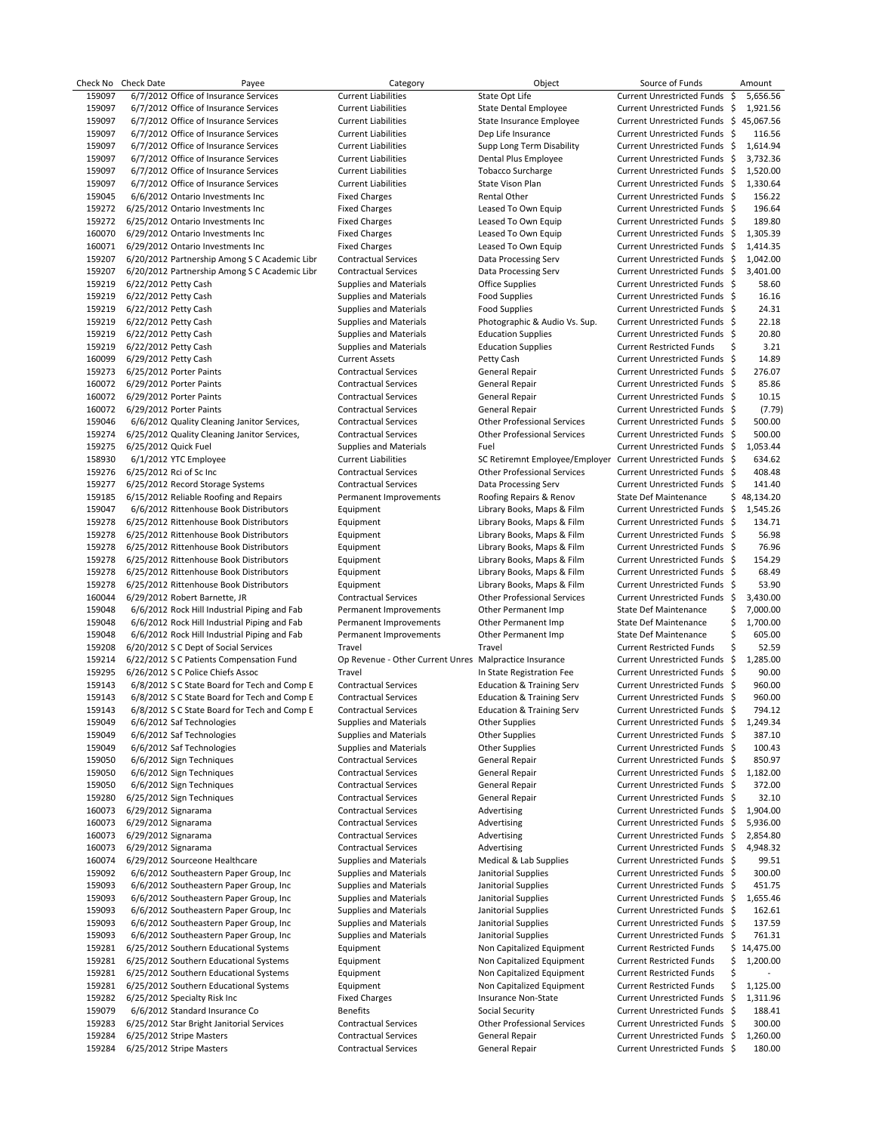|                  | Check No Check Date  | Payee                                                                          | Category                                                   | Object                                                       | Source of Funds                                                |     | Amount      |
|------------------|----------------------|--------------------------------------------------------------------------------|------------------------------------------------------------|--------------------------------------------------------------|----------------------------------------------------------------|-----|-------------|
| 159097<br>159097 |                      | 6/7/2012 Office of Insurance Services                                          | <b>Current Liabilities</b>                                 | State Opt Life                                               | Current Unrestricted Funds \$<br>Current Unrestricted Funds \$ |     | 5,656.56    |
|                  |                      | 6/7/2012 Office of Insurance Services<br>6/7/2012 Office of Insurance Services | <b>Current Liabilities</b>                                 | <b>State Dental Employee</b>                                 |                                                                |     | 1,921.56    |
| 159097           |                      |                                                                                | <b>Current Liabilities</b>                                 | State Insurance Employee                                     | Current Unrestricted Funds \$45,067.56                         |     | 116.56      |
| 159097<br>159097 |                      | 6/7/2012 Office of Insurance Services<br>6/7/2012 Office of Insurance Services | <b>Current Liabilities</b><br><b>Current Liabilities</b>   | Dep Life Insurance<br>Supp Long Term Disability              | Current Unrestricted Funds \$<br>Current Unrestricted Funds \$ |     | 1,614.94    |
| 159097           |                      | 6/7/2012 Office of Insurance Services                                          | <b>Current Liabilities</b>                                 | Dental Plus Employee                                         | Current Unrestricted Funds \$                                  |     | 3,732.36    |
| 159097           |                      | 6/7/2012 Office of Insurance Services                                          | <b>Current Liabilities</b>                                 | <b>Tobacco Surcharge</b>                                     | Current Unrestricted Funds \$                                  |     | 1,520.00    |
| 159097           |                      | 6/7/2012 Office of Insurance Services                                          | <b>Current Liabilities</b>                                 | State Vison Plan                                             | Current Unrestricted Funds \$                                  |     | 1,330.64    |
| 159045           |                      | 6/6/2012 Ontario Investments Inc                                               | <b>Fixed Charges</b>                                       | Rental Other                                                 | Current Unrestricted Funds \$                                  |     | 156.22      |
| 159272           |                      | 6/25/2012 Ontario Investments Inc                                              | <b>Fixed Charges</b>                                       | Leased To Own Equip                                          | Current Unrestricted Funds \$                                  |     | 196.64      |
| 159272           |                      | 6/25/2012 Ontario Investments Inc                                              | <b>Fixed Charges</b>                                       | Leased To Own Equip                                          | Current Unrestricted Funds \$                                  |     | 189.80      |
| 160070           |                      | 6/29/2012 Ontario Investments Inc                                              | <b>Fixed Charges</b>                                       | Leased To Own Equip                                          | Current Unrestricted Funds \$                                  |     | 1,305.39    |
| 160071           |                      | 6/29/2012 Ontario Investments Inc                                              | <b>Fixed Charges</b>                                       | Leased To Own Equip                                          | Current Unrestricted Funds \$                                  |     | 1,414.35    |
| 159207           |                      | 6/20/2012 Partnership Among S C Academic Libr                                  | <b>Contractual Services</b>                                | Data Processing Serv                                         | Current Unrestricted Funds \$                                  |     | 1.042.00    |
| 159207           |                      | 6/20/2012 Partnership Among S C Academic Libr                                  | <b>Contractual Services</b>                                | Data Processing Serv                                         | Current Unrestricted Funds \$                                  |     | 3,401.00    |
| 159219           | 6/22/2012 Petty Cash |                                                                                | <b>Supplies and Materials</b>                              | Office Supplies                                              | Current Unrestricted Funds \$                                  |     | 58.60       |
| 159219           | 6/22/2012 Petty Cash |                                                                                | <b>Supplies and Materials</b>                              | <b>Food Supplies</b>                                         | Current Unrestricted Funds \$                                  |     | 16.16       |
| 159219           | 6/22/2012 Petty Cash |                                                                                | <b>Supplies and Materials</b>                              | <b>Food Supplies</b>                                         | Current Unrestricted Funds \$                                  |     | 24.31       |
| 159219           | 6/22/2012 Petty Cash |                                                                                | <b>Supplies and Materials</b>                              | Photographic & Audio Vs. Sup.                                | Current Unrestricted Funds \$                                  |     | 22.18       |
| 159219           | 6/22/2012 Petty Cash |                                                                                | <b>Supplies and Materials</b>                              | <b>Education Supplies</b>                                    | Current Unrestricted Funds \$                                  |     | 20.80       |
| 159219           | 6/22/2012 Petty Cash |                                                                                | <b>Supplies and Materials</b>                              | <b>Education Supplies</b>                                    | <b>Current Restricted Funds</b>                                | \$  | 3.21        |
| 160099           |                      |                                                                                |                                                            |                                                              | Current Unrestricted Funds \$                                  |     | 14.89       |
|                  | 6/29/2012 Petty Cash |                                                                                | <b>Current Assets</b>                                      | Petty Cash                                                   | Current Unrestricted Funds \$                                  |     | 276.07      |
| 159273           |                      | 6/25/2012 Porter Paints<br>6/29/2012 Porter Paints                             | <b>Contractual Services</b><br><b>Contractual Services</b> | General Repair                                               |                                                                |     | 85.86       |
| 160072           |                      |                                                                                | <b>Contractual Services</b>                                | General Repair<br><b>General Repair</b>                      | Current Unrestricted Funds \$                                  |     |             |
| 160072           |                      | 6/29/2012 Porter Paints                                                        |                                                            |                                                              | Current Unrestricted Funds \$                                  |     | 10.15       |
| 160072           |                      | 6/29/2012 Porter Paints                                                        | <b>Contractual Services</b>                                | General Repair                                               | Current Unrestricted Funds \$                                  |     | (7.79)      |
| 159046           |                      | 6/6/2012 Quality Cleaning Janitor Services,                                    | <b>Contractual Services</b>                                | <b>Other Professional Services</b>                           | Current Unrestricted Funds \$                                  |     | 500.00      |
| 159274           |                      | 6/25/2012 Quality Cleaning Janitor Services,                                   | <b>Contractual Services</b>                                | <b>Other Professional Services</b>                           | Current Unrestricted Funds \$                                  |     | 500.00      |
| 159275           | 6/25/2012 Quick Fuel |                                                                                | <b>Supplies and Materials</b>                              | Fuel                                                         | Current Unrestricted Funds \$                                  |     | 1,053.44    |
| 158930           |                      | 6/1/2012 YTC Employee                                                          | <b>Current Liabilities</b>                                 | SC Retiremnt Employee/Employer Current Unrestricted Funds \$ |                                                                |     | 634.62      |
| 159276           |                      | 6/25/2012 Rci of Sc Inc                                                        | <b>Contractual Services</b>                                | <b>Other Professional Services</b>                           | Current Unrestricted Funds \$                                  |     | 408.48      |
| 159277           |                      | 6/25/2012 Record Storage Systems                                               | <b>Contractual Services</b>                                | Data Processing Serv                                         | Current Unrestricted Funds \$                                  |     | 141.40      |
| 159185           |                      | 6/15/2012 Reliable Roofing and Repairs                                         | Permanent Improvements                                     | Roofing Repairs & Renov                                      | State Def Maintenance                                          |     | \$48,134.20 |
| 159047           |                      | 6/6/2012 Rittenhouse Book Distributors                                         | Equipment                                                  | Library Books, Maps & Film                                   | Current Unrestricted Funds \$                                  |     | 1,545.26    |
| 159278           |                      | 6/25/2012 Rittenhouse Book Distributors                                        | Equipment                                                  | Library Books, Maps & Film                                   | Current Unrestricted Funds \$                                  |     | 134.71      |
| 159278           |                      | 6/25/2012 Rittenhouse Book Distributors                                        | Equipment                                                  | Library Books, Maps & Film                                   | Current Unrestricted Funds \$                                  |     | 56.98       |
| 159278           |                      | 6/25/2012 Rittenhouse Book Distributors                                        | Equipment                                                  | Library Books, Maps & Film                                   | Current Unrestricted Funds \$                                  |     | 76.96       |
| 159278           |                      | 6/25/2012 Rittenhouse Book Distributors                                        | Equipment                                                  | Library Books, Maps & Film                                   | Current Unrestricted Funds \$                                  |     | 154.29      |
| 159278           |                      | 6/25/2012 Rittenhouse Book Distributors                                        | Equipment                                                  | Library Books, Maps & Film                                   | Current Unrestricted Funds \$                                  |     | 68.49       |
| 159278           |                      | 6/25/2012 Rittenhouse Book Distributors                                        | Equipment                                                  | Library Books, Maps & Film                                   | Current Unrestricted Funds \$                                  |     | 53.90       |
| 160044           |                      | 6/29/2012 Robert Barnette, JR                                                  | <b>Contractual Services</b>                                | <b>Other Professional Services</b>                           | Current Unrestricted Funds \$                                  |     | 3,430.00    |
| 159048           |                      | 6/6/2012 Rock Hill Industrial Piping and Fab                                   | Permanent Improvements                                     | Other Permanent Imp                                          | State Def Maintenance                                          | \$  | 7,000.00    |
| 159048           |                      | 6/6/2012 Rock Hill Industrial Piping and Fab                                   | Permanent Improvements                                     | Other Permanent Imp                                          | State Def Maintenance                                          | \$  | 1,700.00    |
| 159048           |                      | 6/6/2012 Rock Hill Industrial Piping and Fab                                   | Permanent Improvements                                     | Other Permanent Imp                                          | State Def Maintenance                                          | \$  | 605.00      |
| 159208           |                      | 6/20/2012 S C Dept of Social Services                                          | Travel                                                     | Travel                                                       | <b>Current Restricted Funds</b>                                | Ś   | 52.59       |
| 159214           |                      | 6/22/2012 S C Patients Compensation Fund                                       | Op Revenue - Other Current Unres Malpractice Insurance     |                                                              | Current Unrestricted Funds \$                                  |     | 1,285.00    |
| 159295           |                      | 6/26/2012 S C Police Chiefs Assoc                                              | Travel                                                     | In State Registration Fee                                    | Current Unrestricted Funds \$                                  |     | 90.00       |
| 159143           |                      | 6/8/2012 S C State Board for Tech and Comp E                                   | <b>Contractual Services</b>                                | <b>Education &amp; Training Serv</b>                         | Current Unrestricted Funds \$                                  |     | 960.00      |
| 159143           |                      | 6/8/2012 S C State Board for Tech and Comp E                                   | <b>Contractual Services</b>                                | <b>Education &amp; Training Serv</b>                         | Current Unrestricted Funds \$                                  |     | 960.00      |
| 159143           |                      | 6/8/2012 S C State Board for Tech and Comp E                                   | <b>Contractual Services</b>                                | <b>Education &amp; Training Serv</b>                         | Current Unrestricted Funds \$                                  |     | 794.12      |
| 159049           |                      | 6/6/2012 Saf Technologies                                                      | <b>Supplies and Materials</b>                              | Other Supplies                                               | Current Unrestricted Funds \$                                  |     | 1,249.34    |
| 159049           |                      | 6/6/2012 Saf Technologies                                                      | <b>Supplies and Materials</b>                              | Other Supplies                                               | Current Unrestricted Funds \$                                  |     | 387.10      |
| 159049           |                      | 6/6/2012 Saf Technologies                                                      | <b>Supplies and Materials</b>                              | Other Supplies                                               | Current Unrestricted Funds \$                                  |     | 100.43      |
| 159050           |                      | 6/6/2012 Sign Techniques                                                       | <b>Contractual Services</b>                                | General Repair                                               | Current Unrestricted Funds \$                                  |     | 850.97      |
| 159050           |                      | 6/6/2012 Sign Techniques                                                       | <b>Contractual Services</b>                                | General Repair                                               | Current Unrestricted Funds \$                                  |     | 1,182.00    |
| 159050           |                      | 6/6/2012 Sign Techniques                                                       | <b>Contractual Services</b>                                | General Repair                                               | Current Unrestricted Funds \$                                  |     | 372.00      |
| 159280           |                      | 6/25/2012 Sign Techniques                                                      | <b>Contractual Services</b>                                | General Repair                                               | Current Unrestricted Funds \$                                  |     | 32.10       |
| 160073           | 6/29/2012 Signarama  |                                                                                | <b>Contractual Services</b>                                | Advertising                                                  | Current Unrestricted Funds \$                                  |     | 1,904.00    |
| 160073           | 6/29/2012 Signarama  |                                                                                | <b>Contractual Services</b>                                | Advertising                                                  | Current Unrestricted Funds                                     | -\$ | 5,936.00    |
| 160073           | 6/29/2012 Signarama  |                                                                                | <b>Contractual Services</b>                                | Advertising                                                  | Current Unrestricted Funds \$                                  |     | 2,854.80    |
| 160073           | 6/29/2012 Signarama  |                                                                                | <b>Contractual Services</b>                                | Advertising                                                  | Current Unrestricted Funds                                     | -\$ | 4,948.32    |
| 160074           |                      | 6/29/2012 Sourceone Healthcare                                                 | <b>Supplies and Materials</b>                              | Medical & Lab Supplies                                       | Current Unrestricted Funds \$                                  |     | 99.51       |
| 159092           |                      | 6/6/2012 Southeastern Paper Group, Inc                                         | Supplies and Materials                                     | Janitorial Supplies                                          | Current Unrestricted Funds \$                                  |     | 300.00      |
| 159093           |                      | 6/6/2012 Southeastern Paper Group, Inc                                         | <b>Supplies and Materials</b>                              | Janitorial Supplies                                          | Current Unrestricted Funds \$                                  |     | 451.75      |
| 159093           |                      | 6/6/2012 Southeastern Paper Group, Inc                                         | <b>Supplies and Materials</b>                              | Janitorial Supplies                                          | Current Unrestricted Funds \$                                  |     | 1,655.46    |
| 159093           |                      | 6/6/2012 Southeastern Paper Group, Inc                                         | <b>Supplies and Materials</b>                              | Janitorial Supplies                                          | Current Unrestricted Funds \$                                  |     | 162.61      |
| 159093           |                      | 6/6/2012 Southeastern Paper Group, Inc                                         | <b>Supplies and Materials</b>                              | Janitorial Supplies                                          | Current Unrestricted Funds \$                                  |     | 137.59      |
| 159093           |                      | 6/6/2012 Southeastern Paper Group, Inc                                         | <b>Supplies and Materials</b>                              | Janitorial Supplies                                          | Current Unrestricted Funds \$                                  |     | 761.31      |
| 159281           |                      | 6/25/2012 Southern Educational Systems                                         | Equipment                                                  | Non Capitalized Equipment                                    | <b>Current Restricted Funds</b>                                |     | \$14,475.00 |
| 159281           |                      | 6/25/2012 Southern Educational Systems                                         | Equipment                                                  | Non Capitalized Equipment                                    | <b>Current Restricted Funds</b>                                | \$  | 1,200.00    |
| 159281           |                      | 6/25/2012 Southern Educational Systems                                         | Equipment                                                  | Non Capitalized Equipment                                    | <b>Current Restricted Funds</b>                                | \$  |             |
| 159281           |                      | 6/25/2012 Southern Educational Systems                                         | Equipment                                                  | Non Capitalized Equipment                                    | <b>Current Restricted Funds</b>                                | \$  | 1,125.00    |
|                  |                      |                                                                                | <b>Fixed Charges</b>                                       | Insurance Non-State                                          | <b>Current Unrestricted Funds</b>                              | -\$ |             |
| 159282           |                      | 6/25/2012 Specialty Risk Inc                                                   |                                                            |                                                              |                                                                |     | 1,311.96    |
| 159079           |                      | 6/6/2012 Standard Insurance Co                                                 | <b>Benefits</b>                                            | Social Security                                              | <b>Current Unrestricted Funds</b>                              | -\$ | 188.41      |
| 159283           |                      | 6/25/2012 Star Bright Janitorial Services                                      | <b>Contractual Services</b>                                | <b>Other Professional Services</b>                           | Current Unrestricted Funds \$                                  |     | 300.00      |
| 159284           |                      | 6/25/2012 Stripe Masters                                                       | <b>Contractual Services</b>                                | General Repair                                               | Current Unrestricted Funds                                     | -\$ | 1,260.00    |
| 159284           |                      | 6/25/2012 Stripe Masters                                                       | <b>Contractual Services</b>                                | General Repair                                               | Current Unrestricted Funds \$                                  |     | 180.00      |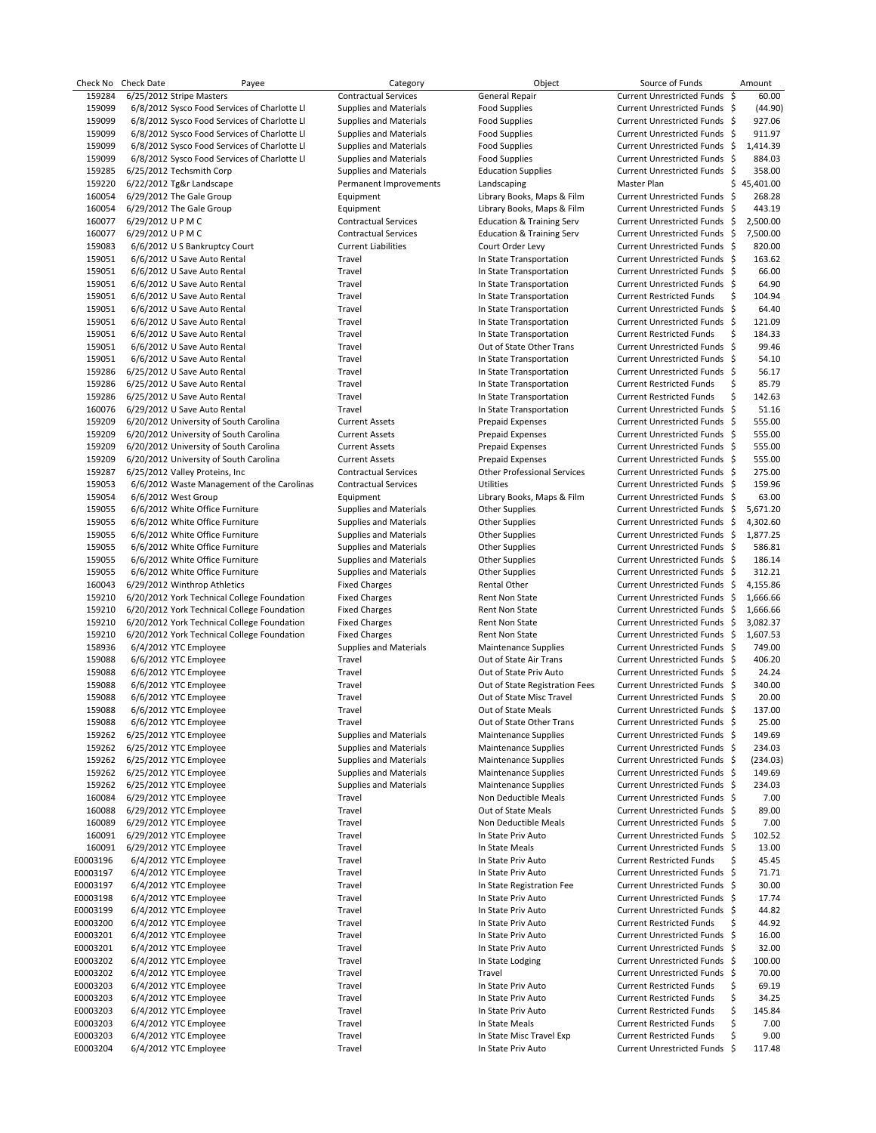| Check No | <b>Check Date</b> | Payee                                        | Category                      | Object                               | Source of Funds                 | Amount       |
|----------|-------------------|----------------------------------------------|-------------------------------|--------------------------------------|---------------------------------|--------------|
| 159284   |                   | 6/25/2012 Stripe Masters                     | <b>Contractual Services</b>   | General Repair                       | Current Unrestricted Funds \$   | 60.00        |
| 159099   |                   | 6/8/2012 Sysco Food Services of Charlotte LI | <b>Supplies and Materials</b> | <b>Food Supplies</b>                 | Current Unrestricted Funds \$   | (44.90)      |
| 159099   |                   | 6/8/2012 Sysco Food Services of Charlotte Ll | <b>Supplies and Materials</b> | <b>Food Supplies</b>                 | Current Unrestricted Funds \$   | 927.06       |
| 159099   |                   | 6/8/2012 Sysco Food Services of Charlotte Ll | <b>Supplies and Materials</b> | <b>Food Supplies</b>                 | Current Unrestricted Funds \$   | 911.97       |
| 159099   |                   | 6/8/2012 Sysco Food Services of Charlotte LI | <b>Supplies and Materials</b> | Food Supplies                        | Current Unrestricted Funds \$   | 1,414.39     |
| 159099   |                   | 6/8/2012 Sysco Food Services of Charlotte Ll | <b>Supplies and Materials</b> | <b>Food Supplies</b>                 | Current Unrestricted Funds \$   | 884.03       |
| 159285   |                   | 6/25/2012 Techsmith Corp                     | <b>Supplies and Materials</b> | <b>Education Supplies</b>            | Current Unrestricted Funds \$   | 358.00       |
| 159220   |                   | 6/22/2012 Tg&r Landscape                     | Permanent Improvements        | Landscaping                          | Master Plan                     | \$45,401.00  |
| 160054   |                   | 6/29/2012 The Gale Group                     | Equipment                     | Library Books, Maps & Film           | Current Unrestricted Funds \$   | 268.28       |
| 160054   |                   | 6/29/2012 The Gale Group                     | Equipment                     | Library Books, Maps & Film           | Current Unrestricted Funds \$   | 443.19       |
| 160077   | 6/29/2012 UPMC    |                                              | <b>Contractual Services</b>   | <b>Education &amp; Training Serv</b> | Current Unrestricted Funds \$   | 2,500.00     |
| 160077   | 6/29/2012 UPMC    |                                              | <b>Contractual Services</b>   | <b>Education &amp; Training Serv</b> | Current Unrestricted Funds \$   | 7,500.00     |
| 159083   |                   | 6/6/2012 U S Bankruptcy Court                | <b>Current Liabilities</b>    | Court Order Levy                     | Current Unrestricted Funds \$   | 820.00       |
| 159051   |                   | 6/6/2012 U Save Auto Rental                  | Travel                        | In State Transportation              | Current Unrestricted Funds \$   | 163.62       |
| 159051   |                   | 6/6/2012 U Save Auto Rental                  | Travel                        | In State Transportation              | Current Unrestricted Funds \$   | 66.00        |
| 159051   |                   | 6/6/2012 U Save Auto Rental                  | Travel                        | In State Transportation              | Current Unrestricted Funds \$   | 64.90        |
| 159051   |                   | 6/6/2012 U Save Auto Rental                  | Travel                        | In State Transportation              | <b>Current Restricted Funds</b> | \$<br>104.94 |
| 159051   |                   | 6/6/2012 U Save Auto Rental                  | Travel                        | In State Transportation              | Current Unrestricted Funds \$   | 64.40        |
| 159051   |                   | 6/6/2012 U Save Auto Rental                  | Travel                        | In State Transportation              | Current Unrestricted Funds \$   | 121.09       |
| 159051   |                   | 6/6/2012 U Save Auto Rental                  | Travel                        | In State Transportation              | <b>Current Restricted Funds</b> | \$<br>184.33 |
| 159051   |                   | 6/6/2012 U Save Auto Rental                  | Travel                        | Out of State Other Trans             | Current Unrestricted Funds \$   | 99.46        |
| 159051   |                   | 6/6/2012 U Save Auto Rental                  | Travel                        | In State Transportation              | Current Unrestricted Funds \$   | 54.10        |
| 159286   |                   | 6/25/2012 U Save Auto Rental                 | Travel                        | In State Transportation              | Current Unrestricted Funds \$   | 56.17        |
| 159286   |                   | 6/25/2012 U Save Auto Rental                 | Travel                        | In State Transportation              | <b>Current Restricted Funds</b> | \$<br>85.79  |
| 159286   |                   | 6/25/2012 U Save Auto Rental                 | Travel                        | In State Transportation              | <b>Current Restricted Funds</b> | \$<br>142.63 |
| 160076   |                   | 6/29/2012 U Save Auto Rental                 | Travel                        | In State Transportation              | Current Unrestricted Funds \$   | 51.16        |
| 159209   |                   | 6/20/2012 University of South Carolina       | <b>Current Assets</b>         | Prepaid Expenses                     | Current Unrestricted Funds \$   | 555.00       |
| 159209   |                   | 6/20/2012 University of South Carolina       | <b>Current Assets</b>         | Prepaid Expenses                     | Current Unrestricted Funds \$   | 555.00       |
| 159209   |                   | 6/20/2012 University of South Carolina       | <b>Current Assets</b>         | Prepaid Expenses                     | Current Unrestricted Funds \$   | 555.00       |
| 159209   |                   | 6/20/2012 University of South Carolina       | <b>Current Assets</b>         | Prepaid Expenses                     | Current Unrestricted Funds \$   | 555.00       |
| 159287   |                   | 6/25/2012 Valley Proteins, Inc.              | <b>Contractual Services</b>   | <b>Other Professional Services</b>   | Current Unrestricted Funds \$   | 275.00       |
|          |                   |                                              | <b>Contractual Services</b>   | <b>Utilities</b>                     | Current Unrestricted Funds \$   | 159.96       |
| 159053   |                   | 6/6/2012 Waste Management of the Carolinas   |                               |                                      |                                 |              |
| 159054   |                   | 6/6/2012 West Group                          | Equipment                     | Library Books, Maps & Film           | Current Unrestricted Funds \$   | 63.00        |
| 159055   |                   | 6/6/2012 White Office Furniture              | <b>Supplies and Materials</b> | <b>Other Supplies</b>                | Current Unrestricted Funds \$   | 5,671.20     |
| 159055   |                   | 6/6/2012 White Office Furniture              | <b>Supplies and Materials</b> | <b>Other Supplies</b>                | Current Unrestricted Funds \$   | 4,302.60     |
| 159055   |                   | 6/6/2012 White Office Furniture              | <b>Supplies and Materials</b> | <b>Other Supplies</b>                | Current Unrestricted Funds \$   | 1,877.25     |
| 159055   |                   | 6/6/2012 White Office Furniture              | <b>Supplies and Materials</b> | <b>Other Supplies</b>                | Current Unrestricted Funds \$   | 586.81       |
| 159055   |                   | 6/6/2012 White Office Furniture              | <b>Supplies and Materials</b> | <b>Other Supplies</b>                | Current Unrestricted Funds \$   | 186.14       |
| 159055   |                   | 6/6/2012 White Office Furniture              | <b>Supplies and Materials</b> | <b>Other Supplies</b>                | Current Unrestricted Funds \$   | 312.21       |
| 160043   |                   | 6/29/2012 Winthrop Athletics                 | <b>Fixed Charges</b>          | Rental Other                         | Current Unrestricted Funds \$   | 4,155.86     |
| 159210   |                   | 6/20/2012 York Technical College Foundation  | <b>Fixed Charges</b>          | Rent Non State                       | Current Unrestricted Funds \$   | 1,666.66     |
| 159210   |                   | 6/20/2012 York Technical College Foundation  | <b>Fixed Charges</b>          | Rent Non State                       | Current Unrestricted Funds \$   | 1,666.66     |
| 159210   |                   | 6/20/2012 York Technical College Foundation  | <b>Fixed Charges</b>          | Rent Non State                       | Current Unrestricted Funds \$   | 3,082.37     |
| 159210   |                   | 6/20/2012 York Technical College Foundation  | <b>Fixed Charges</b>          | Rent Non State                       | Current Unrestricted Funds \$   | 1,607.53     |
| 158936   |                   | 6/4/2012 YTC Employee                        | <b>Supplies and Materials</b> | <b>Maintenance Supplies</b>          | Current Unrestricted Funds \$   | 749.00       |
| 159088   |                   | 6/6/2012 YTC Employee                        | Travel                        | Out of State Air Trans               | Current Unrestricted Funds \$   | 406.20       |
| 159088   |                   | 6/6/2012 YTC Employee                        | Travel                        | Out of State Priv Auto               | Current Unrestricted Funds \$   | 24.24        |
| 159088   |                   | 6/6/2012 YTC Employee                        | Travel                        | Out of State Registration Fees       | Current Unrestricted Funds \$   | 340.00       |
| 159088   |                   | 6/6/2012 YTC Employee                        | Travel                        | Out of State Misc Travel             | Current Unrestricted Funds \$   | 20.00        |
| 159088   |                   | 6/6/2012 YTC Employee                        | Travel                        | Out of State Meals                   | Current Unrestricted Funds \$   | 137.00       |
| 159088   |                   | 6/6/2012 YTC Employee                        | Travel                        | Out of State Other Trans             | Current Unrestricted Funds \$   | 25.00        |
| 159262   |                   | 6/25/2012 YTC Employee                       | <b>Supplies and Materials</b> | <b>Maintenance Supplies</b>          | Current Unrestricted Funds \$   | 149.69       |
| 159262   |                   | 6/25/2012 YTC Employee                       | <b>Supplies and Materials</b> | <b>Maintenance Supplies</b>          | Current Unrestricted Funds \$   | 234.03       |
| 159262   |                   | 6/25/2012 YTC Employee                       | Supplies and Materials        | <b>Maintenance Supplies</b>          | Current Unrestricted Funds \$   | (234.03)     |
| 159262   |                   | 6/25/2012 YTC Employee                       | <b>Supplies and Materials</b> | Maintenance Supplies                 | Current Unrestricted Funds \$   | 149.69       |
| 159262   |                   | 6/25/2012 YTC Employee                       | <b>Supplies and Materials</b> | <b>Maintenance Supplies</b>          | Current Unrestricted Funds \$   | 234.03       |
| 160084   |                   | 6/29/2012 YTC Employee                       | Travel                        | Non Deductible Meals                 | Current Unrestricted Funds \$   | 7.00         |
| 160088   |                   | 6/29/2012 YTC Employee                       | Travel                        | Out of State Meals                   | Current Unrestricted Funds \$   | 89.00        |
|          |                   |                                              |                               |                                      |                                 |              |
| 160089   |                   | 6/29/2012 YTC Employee                       | Travel                        | Non Deductible Meals                 | Current Unrestricted Funds \$   | 7.00         |
| 160091   |                   | 6/29/2012 YTC Employee                       | Travel                        | In State Priv Auto                   | Current Unrestricted Funds \$   | 102.52       |
| 160091   |                   | 6/29/2012 YTC Employee                       | Travel                        | In State Meals                       | Current Unrestricted Funds \$   | 13.00        |
| E0003196 |                   | 6/4/2012 YTC Employee                        | Travel                        | In State Priv Auto                   | <b>Current Restricted Funds</b> | \$<br>45.45  |
| E0003197 |                   | 6/4/2012 YTC Employee                        | Travel                        | In State Priv Auto                   | Current Unrestricted Funds \$   | 71.71        |
| E0003197 |                   | 6/4/2012 YTC Employee                        | Travel                        | In State Registration Fee            | Current Unrestricted Funds \$   | 30.00        |
| E0003198 |                   | 6/4/2012 YTC Employee                        | Travel                        | In State Priv Auto                   | Current Unrestricted Funds \$   | 17.74        |
| E0003199 |                   | 6/4/2012 YTC Employee                        | Travel                        | In State Priv Auto                   | Current Unrestricted Funds \$   | 44.82        |
| E0003200 |                   | 6/4/2012 YTC Employee                        | Travel                        | In State Priv Auto                   | <b>Current Restricted Funds</b> | \$<br>44.92  |
| E0003201 |                   | 6/4/2012 YTC Employee                        | Travel                        | In State Priv Auto                   | Current Unrestricted Funds \$   | 16.00        |
| E0003201 |                   | 6/4/2012 YTC Employee                        | Travel                        | In State Priv Auto                   | Current Unrestricted Funds \$   | 32.00        |
| E0003202 |                   | 6/4/2012 YTC Employee                        | Travel                        | In State Lodging                     | Current Unrestricted Funds \$   | 100.00       |
| E0003202 |                   | 6/4/2012 YTC Employee                        | Travel                        | Travel                               | Current Unrestricted Funds \$   | 70.00        |
| E0003203 |                   | 6/4/2012 YTC Employee                        | Travel                        | In State Priv Auto                   | <b>Current Restricted Funds</b> | \$<br>69.19  |
| E0003203 |                   | 6/4/2012 YTC Employee                        | Travel                        | In State Priv Auto                   | <b>Current Restricted Funds</b> | \$<br>34.25  |
| E0003203 |                   | 6/4/2012 YTC Employee                        | Travel                        | In State Priv Auto                   | <b>Current Restricted Funds</b> | \$<br>145.84 |
| E0003203 |                   | 6/4/2012 YTC Employee                        | Travel                        | In State Meals                       | <b>Current Restricted Funds</b> | \$<br>7.00   |
| E0003203 |                   | 6/4/2012 YTC Employee                        | Travel                        | In State Misc Travel Exp             | <b>Current Restricted Funds</b> | \$<br>9.00   |
| E0003204 |                   | 6/4/2012 YTC Employee                        | Travel                        | In State Priv Auto                   | Current Unrestricted Funds \$   | 117.48       |
|          |                   |                                              |                               |                                      |                                 |              |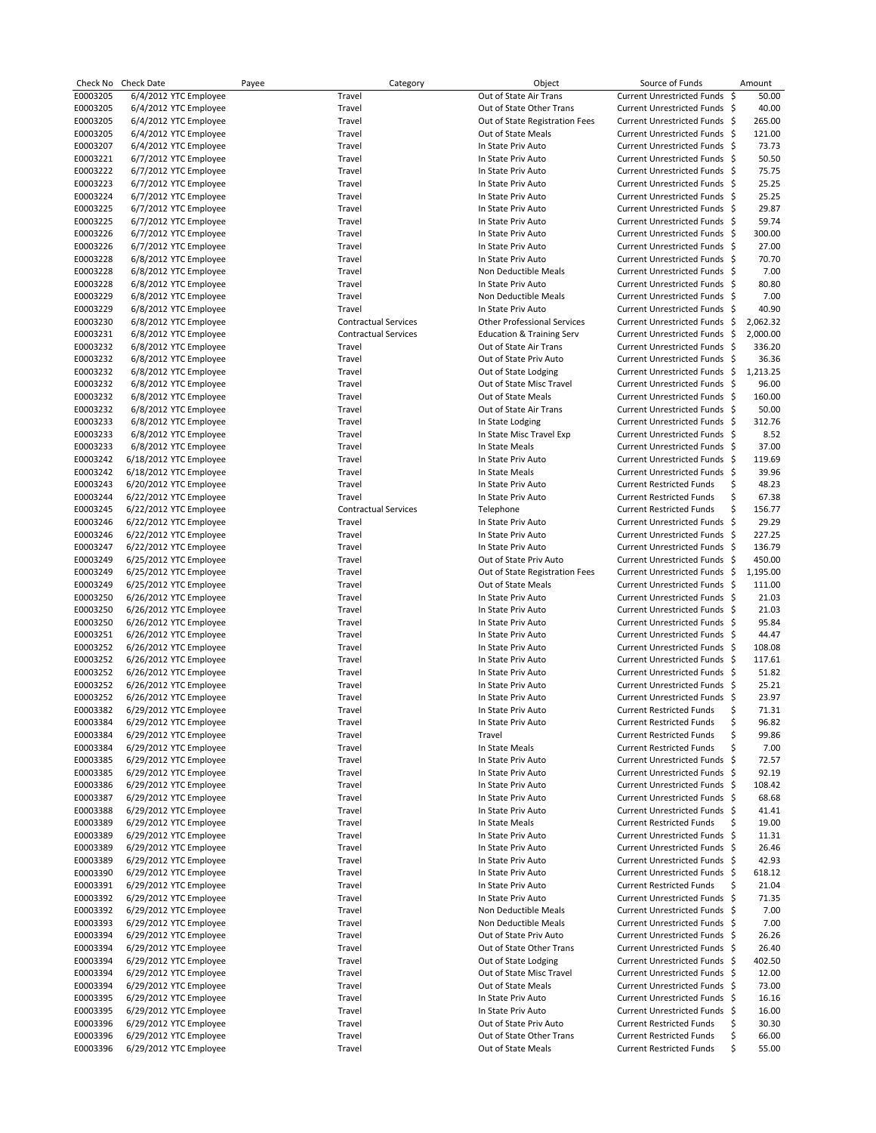|                      | Check No Check Date                              | Payee | Category                    | Object                                   | Source of Funds                                                  |    | Amount         |
|----------------------|--------------------------------------------------|-------|-----------------------------|------------------------------------------|------------------------------------------------------------------|----|----------------|
| E0003205             | 6/4/2012 YTC Employee                            |       | Travel                      | Out of State Air Trans                   | Current Unrestricted Funds \$                                    |    | 50.00          |
| E0003205             | 6/4/2012 YTC Employee                            |       | Travel                      | Out of State Other Trans                 | Current Unrestricted Funds \$                                    |    | 40.00          |
| E0003205             | 6/4/2012 YTC Employee                            |       | Travel                      | Out of State Registration Fees           | Current Unrestricted Funds \$                                    |    | 265.00         |
| E0003205             | 6/4/2012 YTC Employee                            |       | Travel                      | Out of State Meals                       | Current Unrestricted Funds \$                                    |    | 121.00         |
| E0003207             | 6/4/2012 YTC Employee                            |       | Travel                      | In State Priv Auto                       | Current Unrestricted Funds \$                                    |    | 73.73          |
| E0003221             | 6/7/2012 YTC Employee                            |       | Travel                      | In State Priv Auto                       | Current Unrestricted Funds \$                                    |    | 50.50          |
| E0003222             | 6/7/2012 YTC Employee                            |       | Travel                      | In State Priv Auto                       | Current Unrestricted Funds \$                                    |    | 75.75          |
| E0003223             | 6/7/2012 YTC Employee                            |       | Travel                      | In State Priv Auto                       | Current Unrestricted Funds \$                                    |    | 25.25          |
| E0003224             | 6/7/2012 YTC Employee                            |       | Travel                      | In State Priv Auto                       | Current Unrestricted Funds \$                                    |    | 25.25          |
| E0003225             | 6/7/2012 YTC Employee                            |       | Travel                      | In State Priv Auto                       | Current Unrestricted Funds \$                                    |    | 29.87          |
| E0003225             | 6/7/2012 YTC Employee                            |       | Travel                      | In State Priv Auto                       | Current Unrestricted Funds \$                                    |    | 59.74          |
| E0003226             | 6/7/2012 YTC Employee                            |       | Travel                      | In State Priv Auto                       | Current Unrestricted Funds \$                                    |    | 300.00         |
| E0003226             | 6/7/2012 YTC Employee                            |       | Travel                      | In State Priv Auto                       | Current Unrestricted Funds \$                                    |    | 27.00          |
| E0003228             | 6/8/2012 YTC Employee                            |       | Travel                      | In State Priv Auto                       | Current Unrestricted Funds \$                                    |    | 70.70          |
| E0003228             | 6/8/2012 YTC Employee                            |       | Travel                      | Non Deductible Meals                     | Current Unrestricted Funds \$                                    |    | 7.00           |
| E0003228             | 6/8/2012 YTC Employee                            |       | Travel                      | In State Priv Auto                       | Current Unrestricted Funds \$                                    |    | 80.80          |
| E0003229             | 6/8/2012 YTC Employee                            |       | Travel                      | Non Deductible Meals                     | Current Unrestricted Funds \$                                    |    | 7.00           |
| E0003229             | 6/8/2012 YTC Employee                            |       | Travel                      | In State Priv Auto                       | Current Unrestricted Funds \$                                    |    | 40.90          |
| E0003230             | 6/8/2012 YTC Employee                            |       | <b>Contractual Services</b> | <b>Other Professional Services</b>       | Current Unrestricted Funds \$                                    |    | 2,062.32       |
| E0003231             | 6/8/2012 YTC Employee                            |       | <b>Contractual Services</b> | <b>Education &amp; Training Serv</b>     | Current Unrestricted Funds \$                                    |    | 2,000.00       |
| E0003232             | 6/8/2012 YTC Employee                            |       | Travel                      | Out of State Air Trans                   | Current Unrestricted Funds \$                                    |    | 336.20         |
| E0003232             | 6/8/2012 YTC Employee                            |       | Travel                      | Out of State Priv Auto                   | Current Unrestricted Funds \$                                    |    | 36.36          |
| E0003232             | 6/8/2012 YTC Employee                            |       | Travel                      | Out of State Lodging                     | Current Unrestricted Funds \$                                    |    | 1,213.25       |
| E0003232             | 6/8/2012 YTC Employee                            |       | Travel                      | Out of State Misc Travel                 | Current Unrestricted Funds \$                                    |    | 96.00          |
| E0003232             | 6/8/2012 YTC Employee                            |       | Travel                      | Out of State Meals                       | Current Unrestricted Funds \$                                    |    | 160.00         |
| E0003232             | 6/8/2012 YTC Employee                            |       | Travel                      | Out of State Air Trans                   | Current Unrestricted Funds \$                                    |    | 50.00          |
| E0003233             | 6/8/2012 YTC Employee                            |       | Travel                      | In State Lodging                         | Current Unrestricted Funds \$                                    |    | 312.76         |
| E0003233             | 6/8/2012 YTC Employee                            |       | Travel                      | In State Misc Travel Exp                 | Current Unrestricted Funds \$                                    |    | 8.52           |
| E0003233             | 6/8/2012 YTC Employee                            |       | Travel                      | In State Meals                           | Current Unrestricted Funds \$                                    |    | 37.00          |
| E0003242             | 6/18/2012 YTC Employee                           |       | Travel                      | In State Priv Auto                       | Current Unrestricted Funds \$                                    |    | 119.69         |
| E0003242             | 6/18/2012 YTC Employee                           |       | Travel                      | In State Meals                           | Current Unrestricted Funds \$                                    |    | 39.96          |
| E0003243             | 6/20/2012 YTC Employee                           |       | Travel                      | In State Priv Auto                       | <b>Current Restricted Funds</b>                                  | \$ | 48.23          |
| E0003244             | 6/22/2012 YTC Employee                           |       | Travel                      | In State Priv Auto                       | <b>Current Restricted Funds</b>                                  | \$ | 67.38          |
| E0003245             | 6/22/2012 YTC Employee                           |       | <b>Contractual Services</b> | Telephone                                | <b>Current Restricted Funds</b>                                  | \$ | 156.77         |
| E0003246             | 6/22/2012 YTC Employee                           |       | Travel                      | In State Priv Auto                       | Current Unrestricted Funds \$                                    |    | 29.29          |
| E0003246             | 6/22/2012 YTC Employee                           |       | Travel                      | In State Priv Auto                       | Current Unrestricted Funds \$                                    |    | 227.25         |
| E0003247             | 6/22/2012 YTC Employee                           |       | Travel                      | In State Priv Auto                       | Current Unrestricted Funds \$                                    |    | 136.79         |
| E0003249             | 6/25/2012 YTC Employee                           |       | Travel                      | Out of State Priv Auto                   | Current Unrestricted Funds \$                                    |    | 450.00         |
| E0003249             | 6/25/2012 YTC Employee                           |       | Travel                      | Out of State Registration Fees           | Current Unrestricted Funds \$                                    |    | 1,195.00       |
| E0003249             | 6/25/2012 YTC Employee                           |       | Travel                      | Out of State Meals                       | Current Unrestricted Funds \$                                    |    | 111.00         |
| E0003250             | 6/26/2012 YTC Employee                           |       | Travel                      | In State Priv Auto                       | Current Unrestricted Funds \$                                    |    | 21.03          |
| E0003250             | 6/26/2012 YTC Employee                           |       | Travel                      | In State Priv Auto                       | Current Unrestricted Funds \$                                    |    | 21.03          |
| E0003250             | 6/26/2012 YTC Employee                           |       | Travel                      | In State Priv Auto                       | Current Unrestricted Funds \$                                    |    | 95.84          |
| E0003251             | 6/26/2012 YTC Employee                           |       | Travel                      | In State Priv Auto                       | Current Unrestricted Funds \$                                    |    | 44.47          |
| E0003252             | 6/26/2012 YTC Employee                           |       | Travel                      | In State Priv Auto                       | Current Unrestricted Funds \$                                    |    | 108.08         |
| E0003252             | 6/26/2012 YTC Employee                           |       | Travel                      | In State Priv Auto                       | Current Unrestricted Funds \$                                    |    | 117.61         |
| E0003252             | 6/26/2012 YTC Employee                           |       | Travel                      | In State Priv Auto                       | Current Unrestricted Funds \$                                    |    | 51.82          |
| E0003252             | 6/26/2012 YTC Employee                           |       | Travel                      | In State Priv Auto                       | Current Unrestricted Funds \$<br>Current Unrestricted Funds \$   |    | 25.21          |
| E0003252             | 6/26/2012 YTC Employee                           |       | Travel                      | In State Priv Auto                       |                                                                  |    | 23.97          |
| E0003382             | 6/29/2012 YTC Employee                           |       | Travel                      | In State Priv Auto                       | <b>Current Restricted Funds</b>                                  | \$ | 71.31          |
| E0003384             | 6/29/2012 YTC Employee                           |       | Travel                      | In State Priv Auto                       | Current Restricted Funds                                         | Ş  | 96.82          |
| E0003384             | 6/29/2012 YTC Employee<br>6/29/2012 YTC Employee |       | Travel                      | Travel                                   | <b>Current Restricted Funds</b>                                  | \$ | 99.86          |
| E0003384             |                                                  |       | Travel                      | In State Meals                           | <b>Current Restricted Funds</b>                                  | \$ | 7.00           |
| E0003385<br>E0003385 | 6/29/2012 YTC Employee<br>6/29/2012 YTC Employee |       | Travel<br>Travel            | In State Priv Auto                       | Current Unrestricted Funds \$<br>Current Unrestricted Funds \$   |    | 72.57<br>92.19 |
| E0003386             | 6/29/2012 YTC Employee                           |       | Travel                      | In State Priv Auto<br>In State Priv Auto | Current Unrestricted Funds \$                                    |    | 108.42         |
| E0003387             | 6/29/2012 YTC Employee                           |       | Travel                      | In State Priv Auto                       | Current Unrestricted Funds \$                                    |    | 68.68          |
|                      |                                                  |       | Travel                      | In State Priv Auto                       | Current Unrestricted Funds \$                                    |    | 41.41          |
| E0003388             | 6/29/2012 YTC Employee<br>6/29/2012 YTC Employee |       |                             | In State Meals                           | <b>Current Restricted Funds</b>                                  |    |                |
| E0003389             |                                                  |       | Travel                      |                                          |                                                                  | \$ | 19.00          |
| E0003389<br>E0003389 | 6/29/2012 YTC Employee<br>6/29/2012 YTC Employee |       | Travel                      | In State Priv Auto                       | Current Unrestricted Funds \$<br>Current Unrestricted Funds \$   |    | 11.31          |
| E0003389             | 6/29/2012 YTC Employee                           |       | Travel<br>Travel            | In State Priv Auto<br>In State Priv Auto | Current Unrestricted Funds \$                                    |    | 26.46<br>42.93 |
| E0003390             | 6/29/2012 YTC Employee                           |       | Travel                      | In State Priv Auto                       | Current Unrestricted Funds \$                                    |    | 618.12         |
|                      |                                                  |       |                             |                                          |                                                                  |    |                |
| E0003391<br>E0003392 | 6/29/2012 YTC Employee<br>6/29/2012 YTC Employee |       | Travel<br>Travel            | In State Priv Auto<br>In State Priv Auto | <b>Current Restricted Funds</b><br>Current Unrestricted Funds \$ | \$ | 21.04<br>71.35 |
| E0003392             | 6/29/2012 YTC Employee                           |       | Travel                      | Non Deductible Meals                     | Current Unrestricted Funds \$                                    |    | 7.00           |
| E0003393             | 6/29/2012 YTC Employee                           |       | Travel                      | Non Deductible Meals                     | Current Unrestricted Funds \$                                    |    | 7.00           |
| E0003394             | 6/29/2012 YTC Employee                           |       | Travel                      | Out of State Priv Auto                   | Current Unrestricted Funds \$                                    |    | 26.26          |
| E0003394             | 6/29/2012 YTC Employee                           |       | Travel                      | Out of State Other Trans                 | Current Unrestricted Funds \$                                    |    | 26.40          |
| E0003394             | 6/29/2012 YTC Employee                           |       | Travel                      | Out of State Lodging                     | Current Unrestricted Funds \$                                    |    | 402.50         |
| E0003394             | 6/29/2012 YTC Employee                           |       | Travel                      | Out of State Misc Travel                 | Current Unrestricted Funds \$                                    |    | 12.00          |
| E0003394             | 6/29/2012 YTC Employee                           |       | Travel                      | Out of State Meals                       | Current Unrestricted Funds \$                                    |    | 73.00          |
| E0003395             | 6/29/2012 YTC Employee                           |       | Travel                      | In State Priv Auto                       | Current Unrestricted Funds \$                                    |    | 16.16          |
| E0003395             | 6/29/2012 YTC Employee                           |       | Travel                      | In State Priv Auto                       | Current Unrestricted Funds \$                                    |    | 16.00          |
| E0003396             | 6/29/2012 YTC Employee                           |       | Travel                      | Out of State Priv Auto                   | <b>Current Restricted Funds</b>                                  | \$ | 30.30          |
| E0003396             | 6/29/2012 YTC Employee                           |       | Travel                      | Out of State Other Trans                 | <b>Current Restricted Funds</b>                                  | \$ | 66.00          |
| E0003396             | 6/29/2012 YTC Employee                           |       | Travel                      | Out of State Meals                       | <b>Current Restricted Funds</b>                                  | \$ | 55.00          |
|                      |                                                  |       |                             |                                          |                                                                  |    |                |